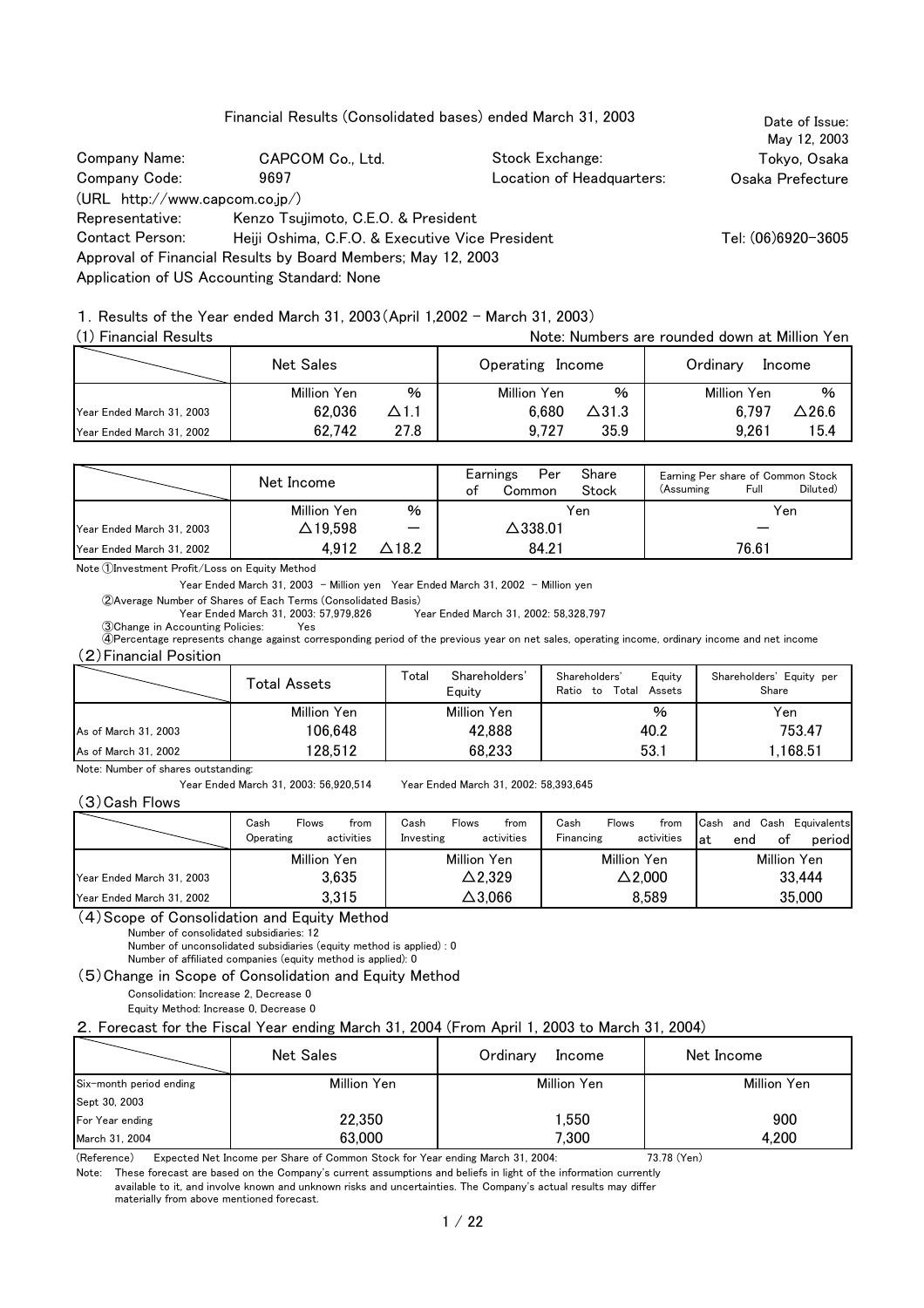Financial Results (Consolidated bases) ended March 31, 2003

May 12, 2003 Company Name: CAPCOM Co., Ltd. Stock Exchange: Tokyo, Osaka Osaka Prefecture (URL http://www.capcom.co.jp/) Tel: (06)6920-3605 Approval of Financial Results by Board Members; May 12, 2003 Application of US Accounting Standard: None Location of Headquarters: Company Code: Representative: Contact Person: Kenzo Tsujimoto, C.E.O. & President 9697 Heiji Oshima, C.F.O. & Executive Vice President

Date of Issue:

1.Results of the Year ended March 31, 2003(April 1,2002 - March 31, 2003)

| (1) Financial Results     |                  |             |                  |               | Note: Numbers are rounded down at Million Yen |        |
|---------------------------|------------------|-------------|------------------|---------------|-----------------------------------------------|--------|
|                           | <b>Net Sales</b> |             | Operating Income |               | Ordinary                                      | Income |
|                           | Million Yen      | %           | Million Yen      | $\%$          | Million Yen                                   | $\%$   |
| Year Ended March 31, 2003 | 62.036           | $\Delta1.1$ | 6.680            | $\Delta$ 31.3 | 6.797                                         | △26.6  |
| Year Ended March 31, 2002 | 62.742           | 27.8        | 9.727            | 35.9          | 9.261                                         | 15.4   |

|                           | Net Income      |                          | ot | Per<br>Earnings<br>Common | Share<br>Stock | (Assuming) | Earning Per share of Common Stock<br>Diluted)<br>Full |
|---------------------------|-----------------|--------------------------|----|---------------------------|----------------|------------|-------------------------------------------------------|
|                           | Million Yen     | %                        |    |                           | Yen            |            | Yen                                                   |
| Year Ended March 31, 2003 | $\Delta$ 19,598 | $\overline{\phantom{m}}$ |    | $\Delta$ 338.01           |                |            |                                                       |
| Year Ended March 31, 2002 | 4.912           | △18.2                    |    | 84.21                     |                |            | 76.61                                                 |

Note ①Investment Profit/Loss on Equity Method

Year Ended March 31, 2003 - Million yen Year Ended March 31, 2002 - Million yen

②Average Number of Shares of Each Terms (Consolidated Basis)

Year Ended March 31, 2003: 57,979,826 Year Ended March 31, 2002: 58,328,797

③Change in Accounting Policies: Yes ④Percentage represents change against corresponding period of the previous year on net sales, operating income, ordinary income and net income (2)Financial Position

|                      | Total Assets | Total<br>Shareholders'<br>Equity | Shareholders'<br>Equity<br>Ratio to<br>Total<br>Assets | Shareholders' Equity per<br>Share |
|----------------------|--------------|----------------------------------|--------------------------------------------------------|-----------------------------------|
|                      | Million Yen  | Million Yen                      | %                                                      | Yen                               |
| As of March 31, 2003 | 106,648      | 42,888                           | 40.2                                                   | 753.47                            |
| As of March 31, 2002 | 128,512      | 68,233                           | 53.1                                                   | 1,168.51                          |

Note: Number of shares outstanding:

Year Ended March 31, 2003: 56,920,514 Year Ended March 31, 2002: 58,393,645

(3)Cash Flows

|                           | Cash<br><b>Flows</b><br>trom<br>activities<br>Operating | Cash<br>from<br><b>Flows</b><br>activities<br>Investing | Cash<br><b>Flows</b><br>from<br>activities<br>Financing | Cash Equivalents<br>Cash<br>and<br>оf<br>lat<br>period<br>end |
|---------------------------|---------------------------------------------------------|---------------------------------------------------------|---------------------------------------------------------|---------------------------------------------------------------|
|                           | Million Yen                                             | Million Yen                                             | Million Yen                                             | Million Yen                                                   |
| Year Ended March 31, 2003 | 3.635                                                   | △2,329                                                  | $\Delta$ 2.000                                          | 33,444                                                        |
| Year Ended March 31, 2002 | 3,315                                                   | △3,066                                                  | 8.589                                                   | 35,000                                                        |

(4)Scope of Consolidation and Equity Method

Number of consolidated subsidiaries: 12

Number of unconsolidated subsidiaries (equity method is applied) : 0

Number of affiliated companies (equity method is applied): 0

(5)Change in Scope of Consolidation and Equity Method

Consolidation: Increase 2, Decrease 0

Equity Method: Increase 0, Decrease 0

2.Forecast for the Fiscal Year ending March 31, 2004 (From April 1, 2003 to March 31, 2004)

|                         | Net Sales   | Ordinary<br>Income | Net Income  |
|-------------------------|-------------|--------------------|-------------|
| Six-month period ending | Million Yen | Million Yen        | Million Yen |
| Sept 30, 2003           |             |                    |             |
| For Year ending         | 22,350      | ,550               | 900         |
| March 31, 2004          | 63,000      | 7,300              | 4,200       |

(Reference) Expected Net Income per Share of Common Stock for Year ending March 31, 2004: 73.78 (Yen)

Note: These forecast are based on the Company's current assumptions and beliefs in light of the information currently

available to it, and involve known and unknown risks and uncertainties. The Company's actual results may differ

materially from above mentioned forecast.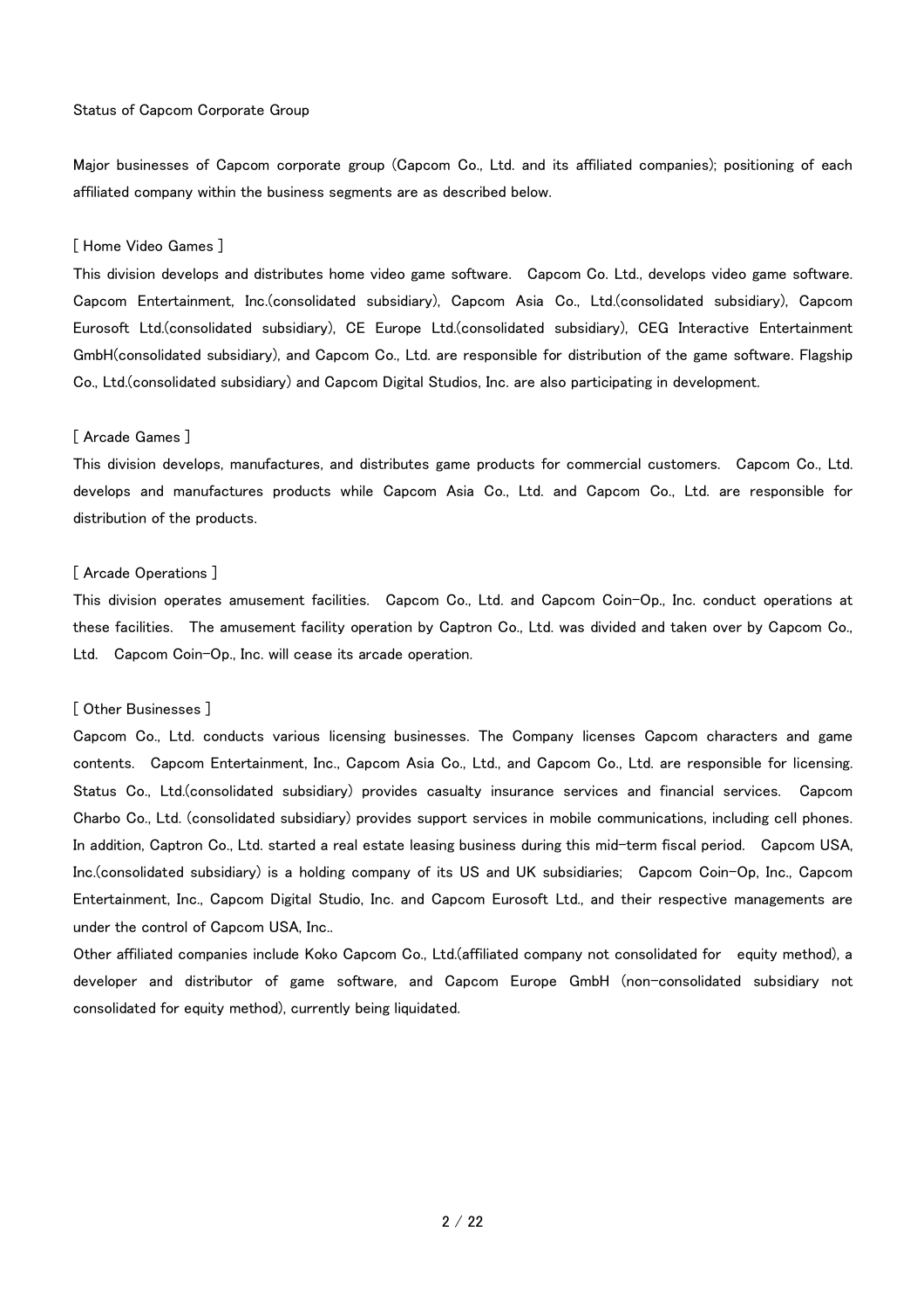#### Status of Capcom Corporate Group

Major businesses of Capcom corporate group (Capcom Co., Ltd. and its affiliated companies); positioning of each affiliated company within the business segments are as described below.

#### [ Home Video Games ]

This division develops and distributes home video game software. Capcom Co. Ltd., develops video game software. Capcom Entertainment, Inc.(consolidated subsidiary), Capcom Asia Co., Ltd.(consolidated subsidiary), Capcom Eurosoft Ltd.(consolidated subsidiary), CE Europe Ltd.(consolidated subsidiary), CEG Interactive Entertainment GmbH(consolidated subsidiary), and Capcom Co., Ltd. are responsible for distribution of the game software. Flagship Co., Ltd.(consolidated subsidiary) and Capcom Digital Studios, Inc. are also participating in development.

#### [ Arcade Games ]

This division develops, manufactures, and distributes game products for commercial customers. Capcom Co., Ltd. develops and manufactures products while Capcom Asia Co., Ltd. and Capcom Co., Ltd. are responsible for distribution of the products.

#### [ Arcade Operations ]

This division operates amusement facilities. Capcom Co., Ltd. and Capcom Coin-Op., Inc. conduct operations at these facilities. The amusement facility operation by Captron Co., Ltd. was divided and taken over by Capcom Co., Ltd. Capcom Coin-Op., Inc. will cease its arcade operation.

#### [ Other Businesses ]

Capcom Co., Ltd. conducts various licensing businesses. The Company licenses Capcom characters and game contents. Capcom Entertainment, Inc., Capcom Asia Co., Ltd., and Capcom Co., Ltd. are responsible for licensing. Status Co., Ltd.(consolidated subsidiary) provides casualty insurance services and financial services. Capcom Charbo Co., Ltd. (consolidated subsidiary) provides support services in mobile communications, including cell phones. In addition, Captron Co., Ltd. started a real estate leasing business during this mid-term fiscal period. Capcom USA, Inc.(consolidated subsidiary) is a holding company of its US and UK subsidiaries; Capcom Coin-Op, Inc., Capcom Entertainment, Inc., Capcom Digital Studio, Inc. and Capcom Eurosoft Ltd., and their respective managements are under the control of Capcom USA, Inc..

Other affiliated companies include Koko Capcom Co., Ltd.(affiliated company not consolidated for equity method), a developer and distributor of game software, and Capcom Europe GmbH (non-consolidated subsidiary not consolidated for equity method), currently being liquidated.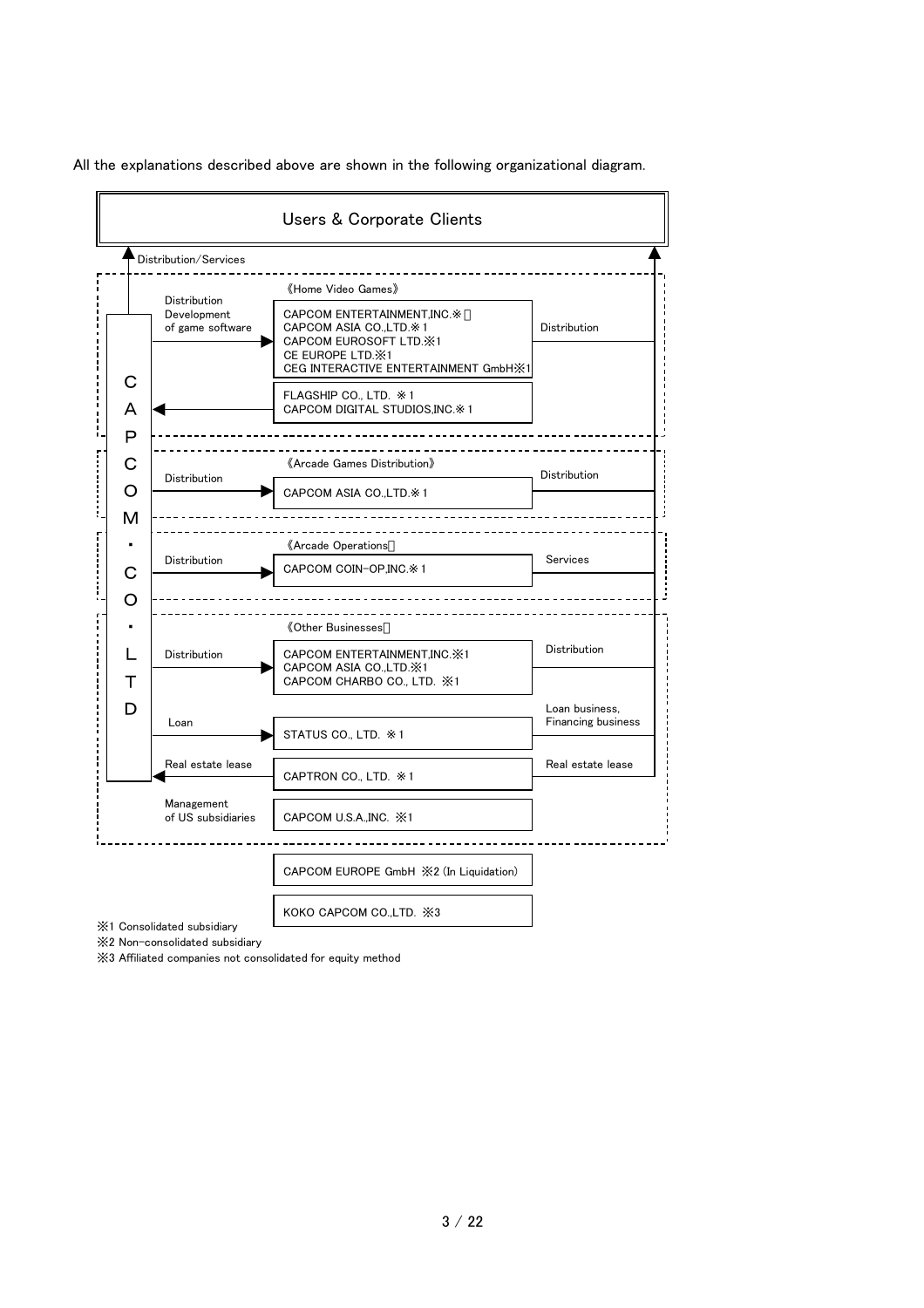

All the explanations described above are shown in the following organizational diagram.

※2 Non-consolidated subsidiary

※3 Affiliated companies not consolidated for equity method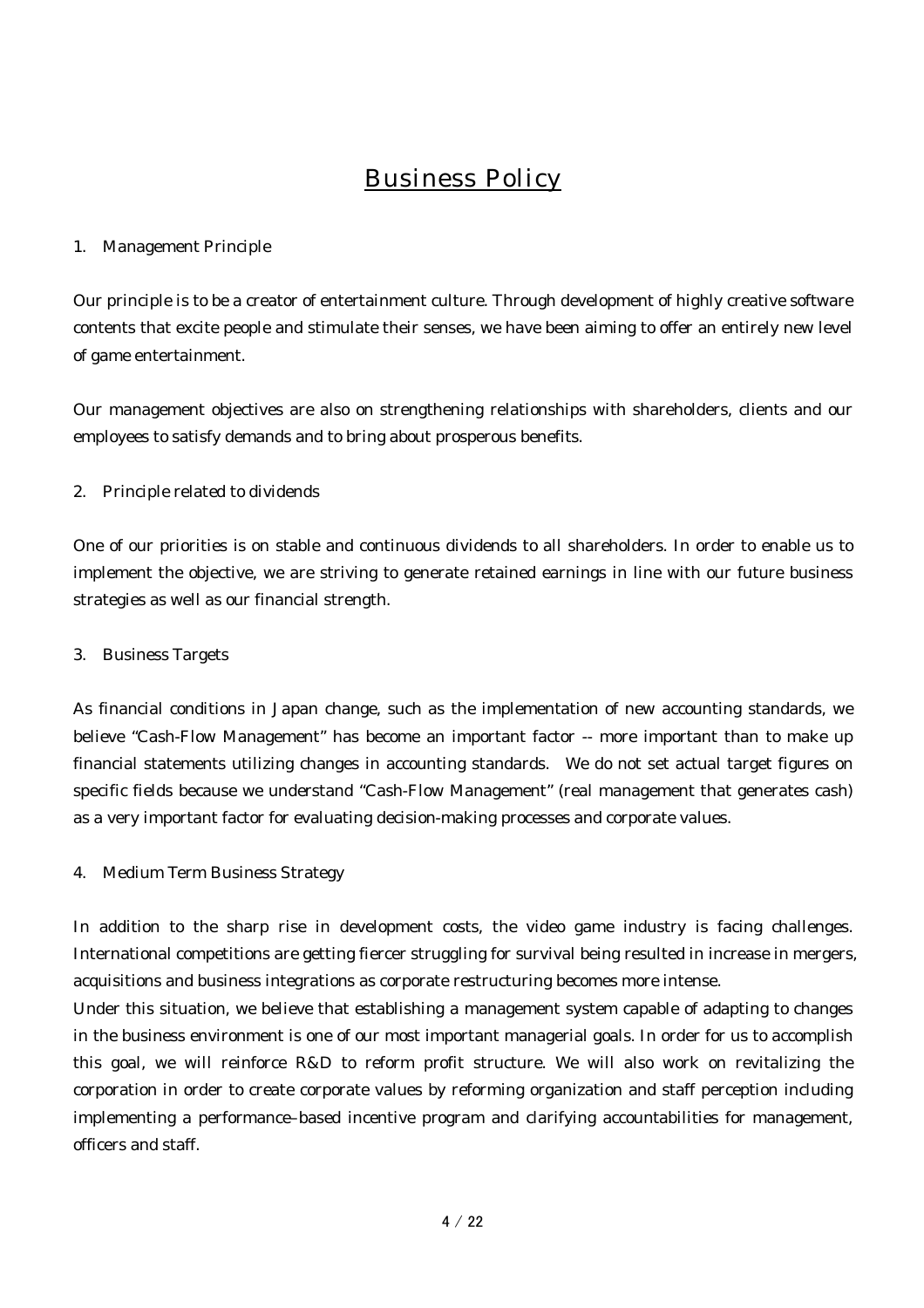# Business Policy

# 1. Management Principle

Our principle is to be a creator of entertainment culture. Through development of highly creative software contents that excite people and stimulate their senses, we have been aiming to offer an entirely new level of game entertainment.

Our management objectives are also on strengthening relationships with shareholders, clients and our employees to satisfy demands and to bring about prosperous benefits.

# 2. Principle related to dividends

One of our priorities is on stable and continuous dividends to all shareholders. In order to enable us to implement the objective, we are striving to generate retained earnings in line with our future business strategies as well as our financial strength.

# 3. Business Targets

As financial conditions in Japan change, such as the implementation of new accounting standards, we believe "Cash-Flow Management" has become an important factor -- more important than to make up financial statements utilizing changes in accounting standards. We do not set actual target figures on specific fields because we understand "Cash-Flow Management" (real management that generates cash) as a very important factor for evaluating decision-making processes and corporate values.

# 4. Medium Term Business Strategy

In addition to the sharp rise in development costs, the video game industry is facing challenges. International competitions are getting fiercer struggling for survival being resulted in increase in mergers, acquisitions and business integrations as corporate restructuring becomes more intense.

Under this situation, we believe that establishing a management system capable of adapting to changes in the business environment is one of our most important managerial goals. In order for us to accomplish this goal, we will reinforce R&D to reform profit structure. We will also work on revitalizing the corporation in order to create corporate values by reforming organization and staff perception including implementing a performance–based incentive program and clarifying accountabilities for management, officers and staff.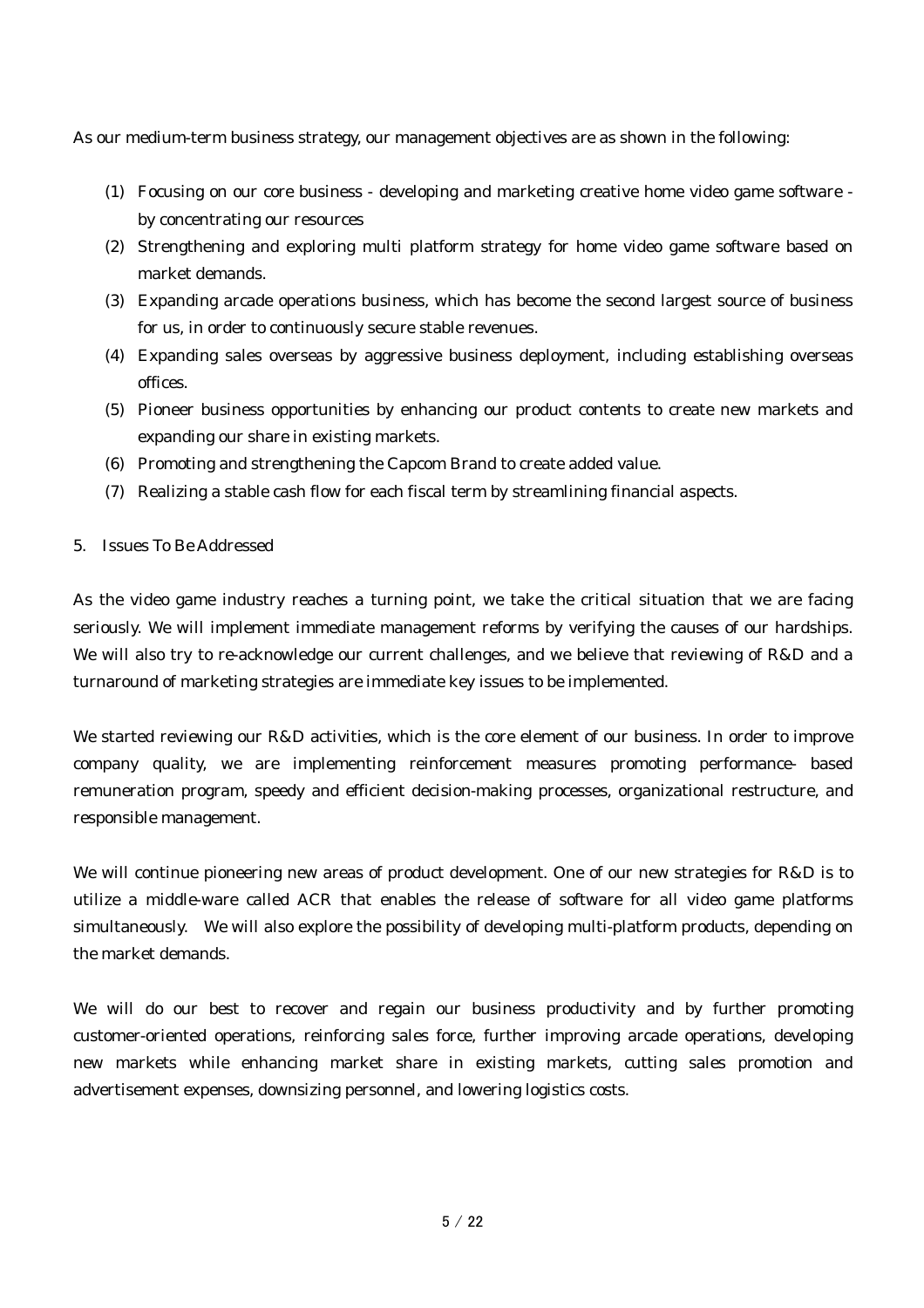As our medium-term business strategy, our management objectives are as shown in the following:

- (1) Focusing on our core business developing and marketing creative home video game software by concentrating our resources
- (2) Strengthening and exploring multi platform strategy for home video game software based on market demands.
- (3) Expanding arcade operations business, which has become the second largest source of business for us, in order to continuously secure stable revenues.
- (4) Expanding sales overseas by aggressive business deployment, including establishing overseas offices.
- (5) Pioneer business opportunities by enhancing our product contents to create new markets and expanding our share in existing markets.
- (6) Promoting and strengthening the Capcom Brand to create added value.
- (7) Realizing a stable cash flow for each fiscal term by streamlining financial aspects.

### 5. Issues To Be Addressed

As the video game industry reaches a turning point, we take the critical situation that we are facing seriously. We will implement immediate management reforms by verifying the causes of our hardships. We will also try to re-acknowledge our current challenges, and we believe that reviewing of R&D and a turnaround of marketing strategies are immediate key issues to be implemented.

We started reviewing our R&D activities, which is the core element of our business. In order to improve company quality, we are implementing reinforcement measures promoting performance- based remuneration program, speedy and efficient decision-making processes, organizational restructure, and responsible management.

We will continue pioneering new areas of product development. One of our new strategies for R&D is to utilize a middle-ware called ACR that enables the release of software for all video game platforms simultaneously. We will also explore the possibility of developing multi-platform products, depending on the market demands.

We will do our best to recover and regain our business productivity and by further promoting customer-oriented operations, reinforcing sales force, further improving arcade operations, developing new markets while enhancing market share in existing markets, cutting sales promotion and advertisement expenses, downsizing personnel, and lowering logistics costs.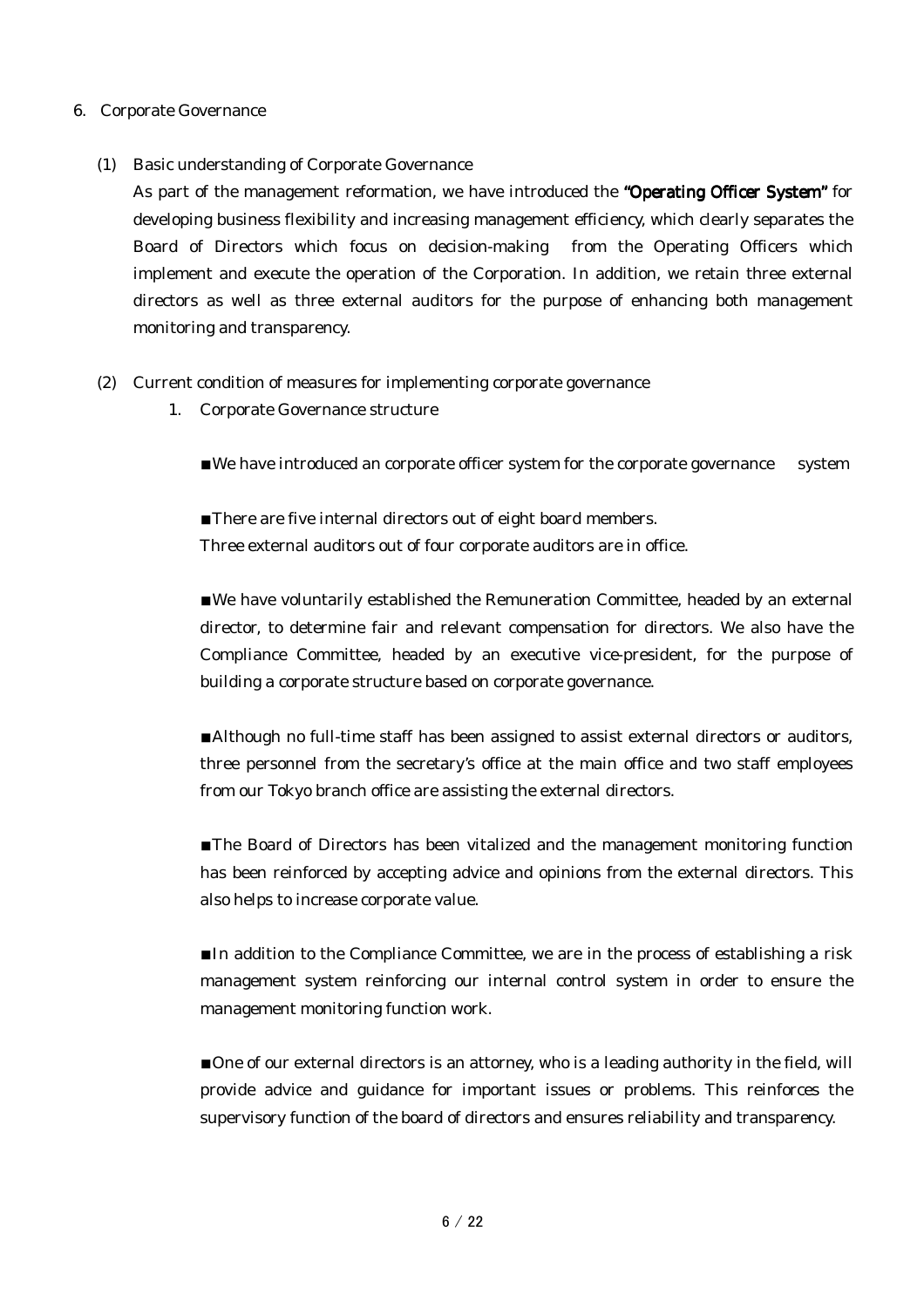### 6. Corporate Governance

(1) Basic understanding of Corporate Governance

As part of the management reformation, we have introduced the "Operating Officer System" for developing business flexibility and increasing management efficiency, which clearly separates the Board of Directors which focus on decision-making from the Operating Officers which implement and execute the operation of the Corporation. In addition, we retain three external directors as well as three external auditors for the purpose of enhancing both management monitoring and transparency.

- (2) Current condition of measures for implementing corporate governance
	- 1. Corporate Governance structure

■We have introduced an corporate officer system for the corporate governance system

■There are five internal directors out of eight board members. Three external auditors out of four corporate auditors are in office.

■We have voluntarily established the Remuneration Committee, headed by an external director, to determine fair and relevant compensation for directors. We also have the Compliance Committee, headed by an executive vice-president, for the purpose of building a corporate structure based on corporate governance.

■Although no full-time staff has been assigned to assist external directors or auditors, three personnel from the secretary's office at the main office and two staff employees from our Tokyo branch office are assisting the external directors.

■The Board of Directors has been vitalized and the management monitoring function has been reinforced by accepting advice and opinions from the external directors. This also helps to increase corporate value.

■In addition to the Compliance Committee, we are in the process of establishing a risk management system reinforcing our internal control system in order to ensure the management monitoring function work.

■One of our external directors is an attorney, who is a leading authority in the field, will provide advice and guidance for important issues or problems. This reinforces the supervisory function of the board of directors and ensures reliability and transparency.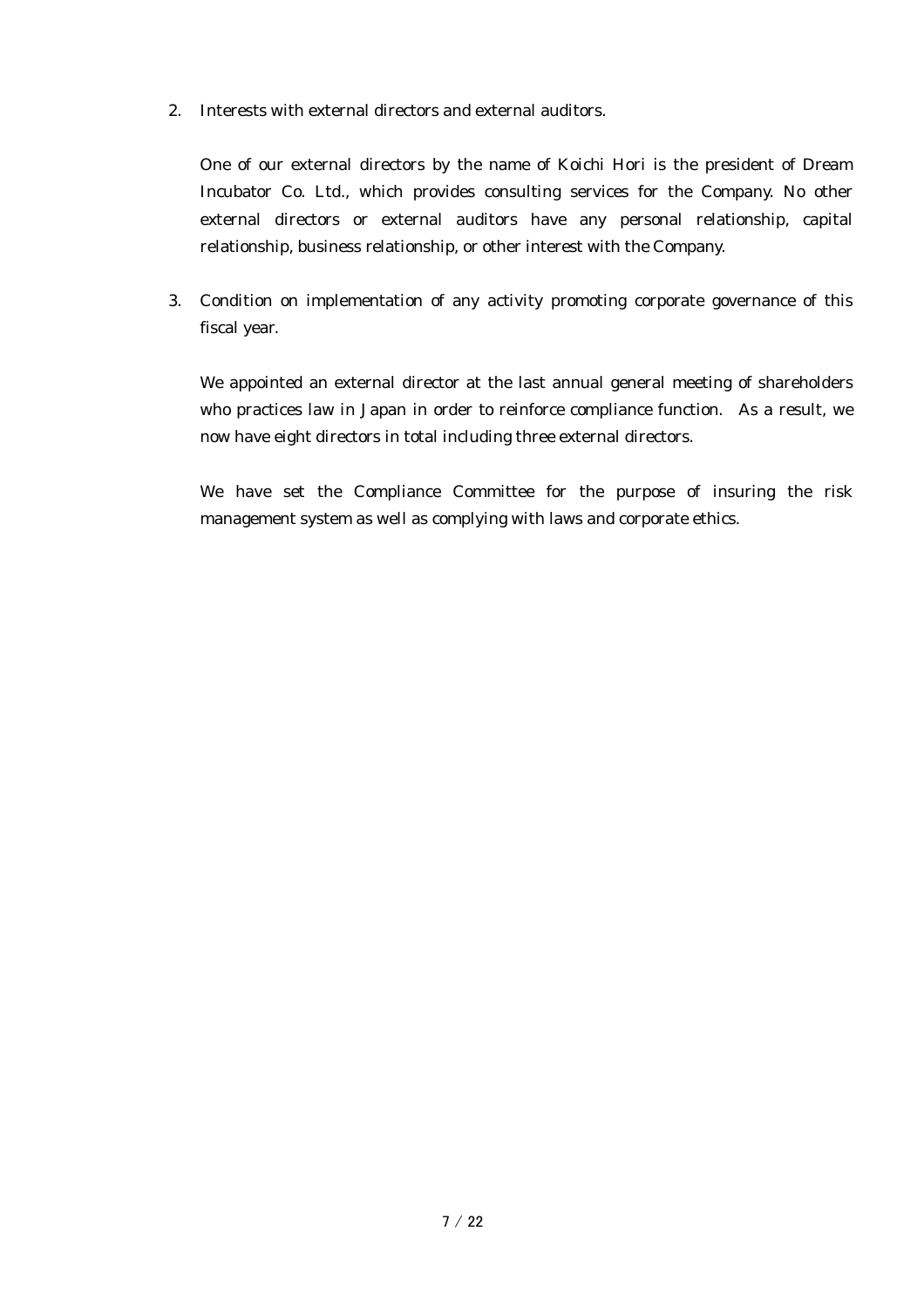2. Interests with external directors and external auditors.

One of our external directors by the name of Koichi Hori is the president of Dream Incubator Co. Ltd., which provides consulting services for the Company. No other external directors or external auditors have any personal relationship, capital relationship, business relationship, or other interest with the Company.

3. Condition on implementation of any activity promoting corporate governance of this fiscal year.

We appointed an external director at the last annual general meeting of shareholders who practices law in Japan in order to reinforce compliance function. As a result, we now have eight directors in total including three external directors.

We have set the Compliance Committee for the purpose of insuring the risk management system as well as complying with laws and corporate ethics.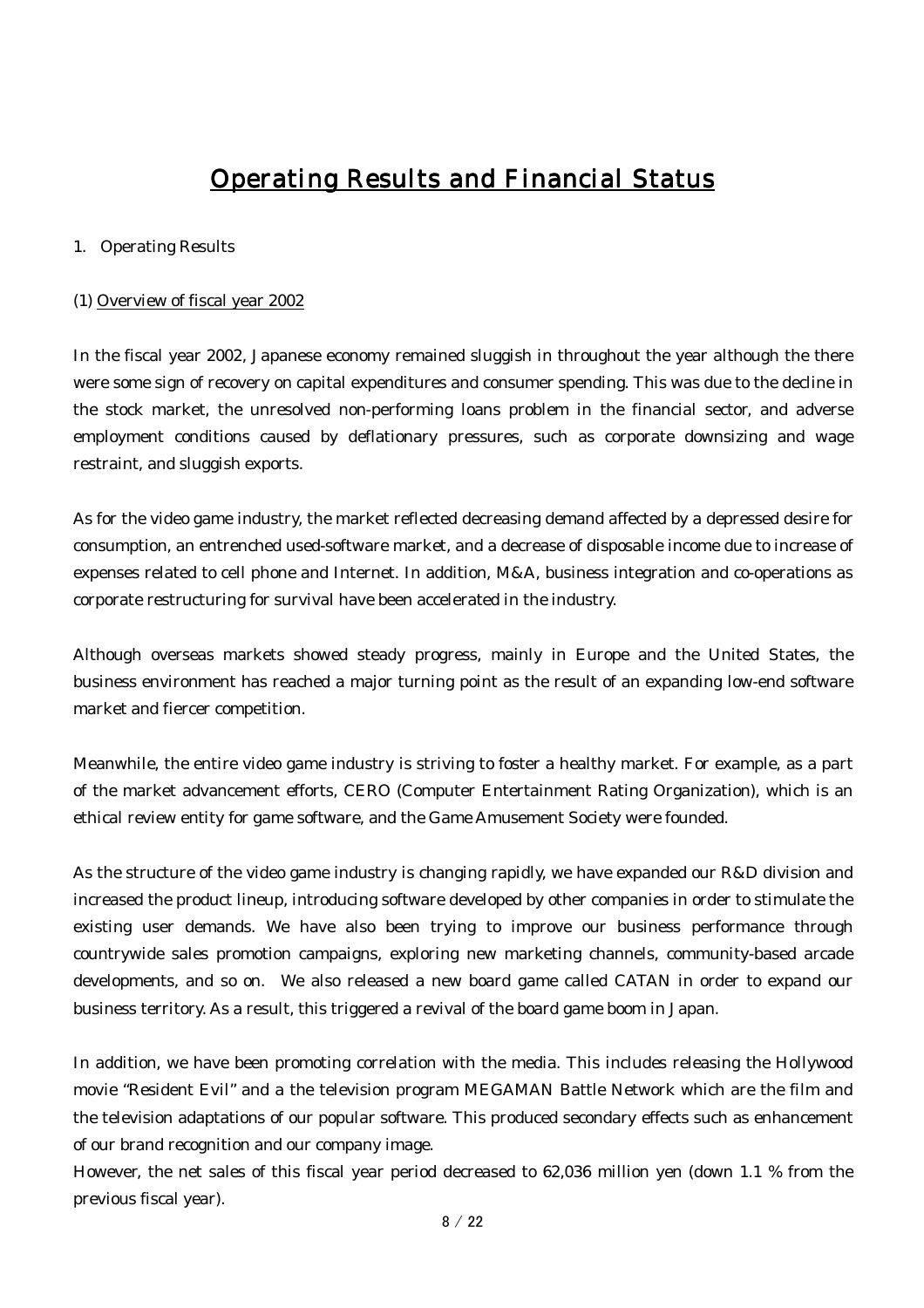# Operating Results and Financial Status

#### 1. Operating Results

#### (1) Overview of fiscal year 2002

In the fiscal year 2002, Japanese economy remained sluggish in throughout the year although the there were some sign of recovery on capital expenditures and consumer spending. This was due to the decline in the stock market, the unresolved non-performing loans problem in the financial sector, and adverse employment conditions caused by deflationary pressures, such as corporate downsizing and wage restraint, and sluggish exports.

As for the video game industry, the market reflected decreasing demand affected by a depressed desire for consumption, an entrenched used-software market, and a decrease of disposable income due to increase of expenses related to cell phone and Internet. In addition, M&A, business integration and co-operations as corporate restructuring for survival have been accelerated in the industry.

Although overseas markets showed steady progress, mainly in Europe and the United States, the business environment has reached a major turning point as the result of an expanding low-end software market and fiercer competition.

Meanwhile, the entire video game industry is striving to foster a healthy market. For example, as a part of the market advancement efforts, CERO (Computer Entertainment Rating Organization), which is an ethical review entity for game software, and the Game Amusement Society were founded.

As the structure of the video game industry is changing rapidly, we have expanded our R&D division and increased the product lineup, introducing software developed by other companies in order to stimulate the existing user demands. We have also been trying to improve our business performance through countrywide sales promotion campaigns, exploring new marketing channels, community-based arcade developments, and so on. We also released a new board game called CATAN in order to expand our business territory. As a result, this triggered a revival of the board game boom in Japan.

In addition, we have been promoting correlation with the media. This includes releasing the Hollywood movie "Resident Evil" and a the television program MEGAMAN Battle Network which are the film and the television adaptations of our popular software. This produced secondary effects such as enhancement of our brand recognition and our company image.

However, the net sales of this fiscal year period decreased to 62,036 million yen (down 1.1 % from the previous fiscal year).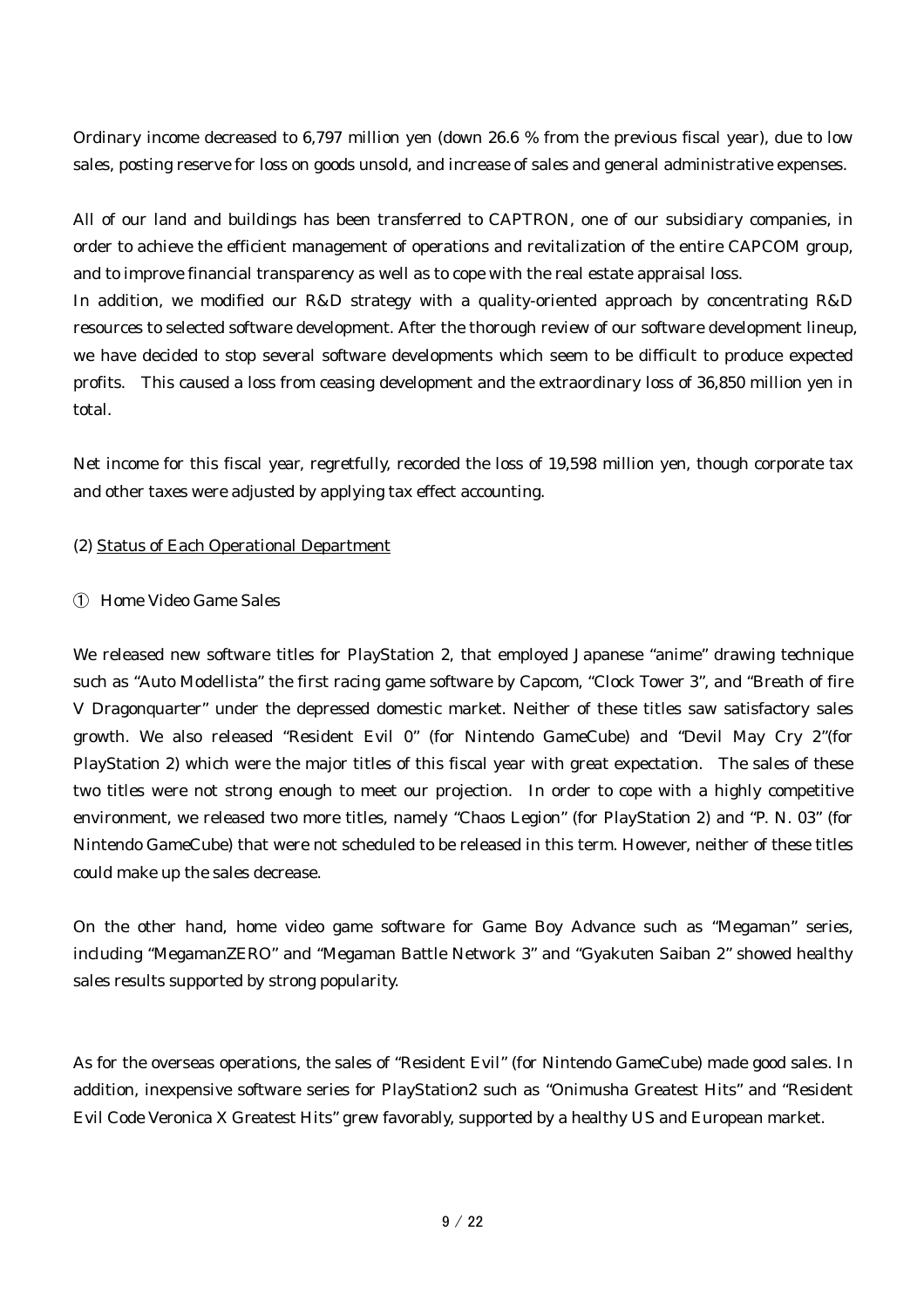Ordinary income decreased to 6,797 million yen (down 26.6 % from the previous fiscal year), due to low sales, posting reserve for loss on goods unsold, and increase of sales and general administrative expenses.

All of our land and buildings has been transferred to CAPTRON, one of our subsidiary companies, in order to achieve the efficient management of operations and revitalization of the entire CAPCOM group, and to improve financial transparency as well as to cope with the real estate appraisal loss. In addition, we modified our R&D strategy with a quality-oriented approach by concentrating R&D resources to selected software development. After the thorough review of our software development lineup, we have decided to stop several software developments which seem to be difficult to produce expected profits. This caused a loss from ceasing development and the extraordinary loss of 36,850 million yen in total.

Net income for this fiscal year, regretfully, recorded the loss of 19,598 million yen, though corporate tax and other taxes were adjusted by applying tax effect accounting.

### (2) Status of Each Operational Department

### ① Home Video Game Sales

We released new software titles for PlayStation 2, that employed Japanese "anime" drawing technique such as "Auto Modellista" the first racing game software by Capcom, "Clock Tower 3", and "Breath of fire V Dragonquarter" under the depressed domestic market. Neither of these titles saw satisfactory sales growth. We also released "Resident Evil 0" (for Nintendo GameCube) and "Devil May Cry 2"(for PlayStation 2) which were the major titles of this fiscal year with great expectation. The sales of these two titles were not strong enough to meet our projection. In order to cope with a highly competitive environment, we released two more titles, namely "Chaos Legion" (for PlayStation 2) and "P. N. 03" (for Nintendo GameCube) that were not scheduled to be released in this term. However, neither of these titles could make up the sales decrease.

On the other hand, home video game software for Game Boy Advance such as "Megaman" series, including "MegamanZERO" and "Megaman Battle Network 3" and "Gyakuten Saiban 2" showed healthy sales results supported by strong popularity.

As for the overseas operations, the sales of "Resident Evil" (for Nintendo GameCube) made good sales. In addition, inexpensive software series for PlayStation2 such as "Onimusha Greatest Hits" and "Resident Evil Code Veronica X Greatest Hits" grew favorably, supported by a healthy US and European market.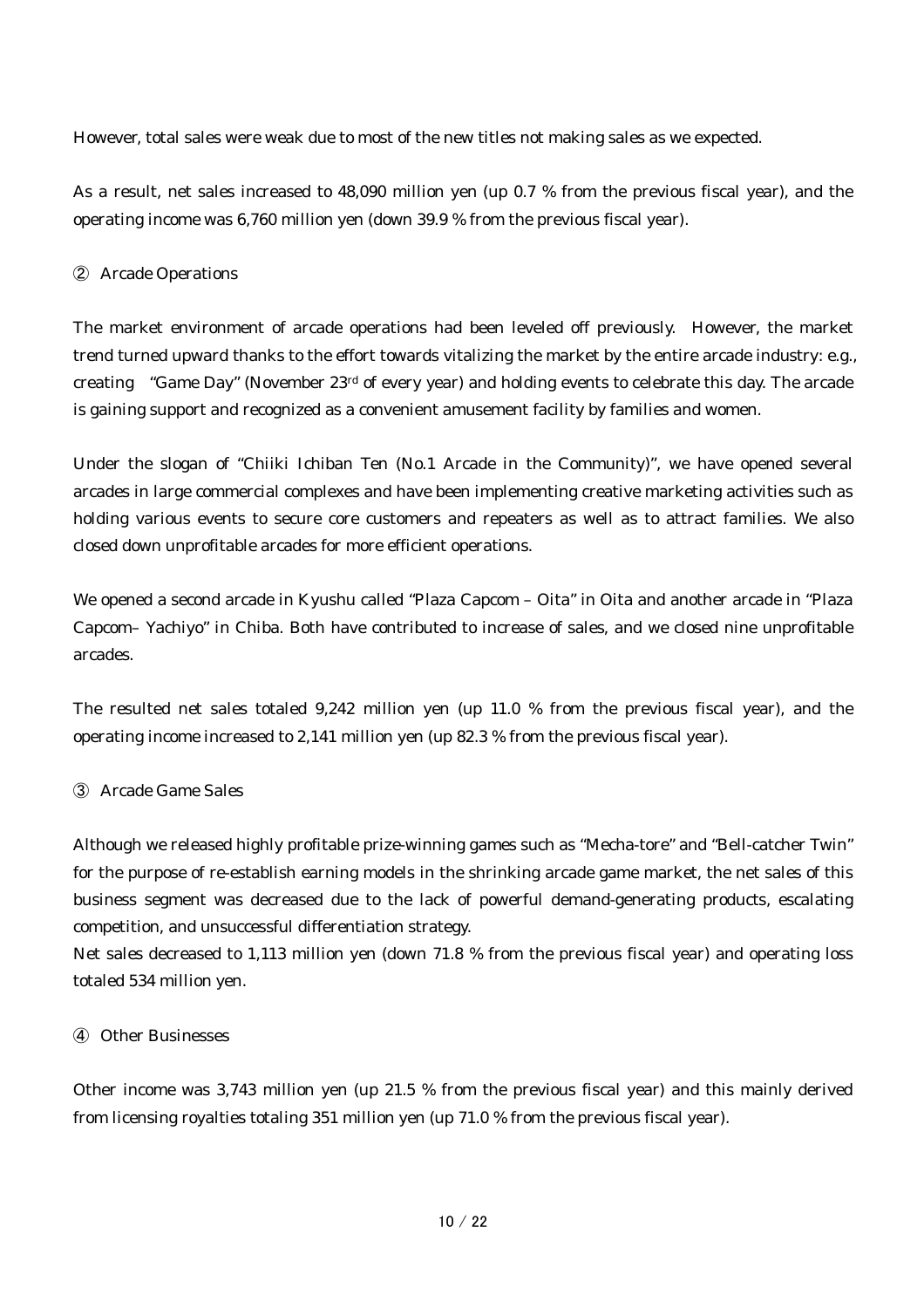However, total sales were weak due to most of the new titles not making sales as we expected.

As a result, net sales increased to 48,090 million yen (up 0.7 % from the previous fiscal year), and the operating income was 6,760 million yen (down 39.9 % from the previous fiscal year).

# ② Arcade Operations

The market environment of arcade operations had been leveled off previously. However, the market trend turned upward thanks to the effort towards vitalizing the market by the entire arcade industry: e.g., creating "Game Day" (November 23rd of every year) and holding events to celebrate this day. The arcade is gaining support and recognized as a convenient amusement facility by families and women.

Under the slogan of "Chiiki Ichiban Ten (No.1 Arcade in the Community)", we have opened several arcades in large commercial complexes and have been implementing creative marketing activities such as holding various events to secure core customers and repeaters as well as to attract families. We also closed down unprofitable arcades for more efficient operations.

We opened a second arcade in Kyushu called "Plaza Capcom – Oita" in Oita and another arcade in "Plaza Capcom– Yachiyo" in Chiba. Both have contributed to increase of sales, and we closed nine unprofitable arcades.

The resulted net sales totaled 9,242 million yen (up 11.0 % from the previous fiscal year), and the operating income increased to 2,141 million yen (up 82.3 % from the previous fiscal year).

# ③ Arcade Game Sales

Although we released highly profitable prize-winning games such as "Mecha-tore" and "Bell-catcher Twin" for the purpose of re-establish earning models in the shrinking arcade game market, the net sales of this business segment was decreased due to the lack of powerful demand-generating products, escalating competition, and unsuccessful differentiation strategy.

Net sales decreased to 1,113 million yen (down 71.8 % from the previous fiscal year) and operating loss totaled 534 million yen.

# ④ Other Businesses

Other income was 3,743 million yen (up 21.5 % from the previous fiscal year) and this mainly derived from licensing royalties totaling 351 million yen (up 71.0 % from the previous fiscal year).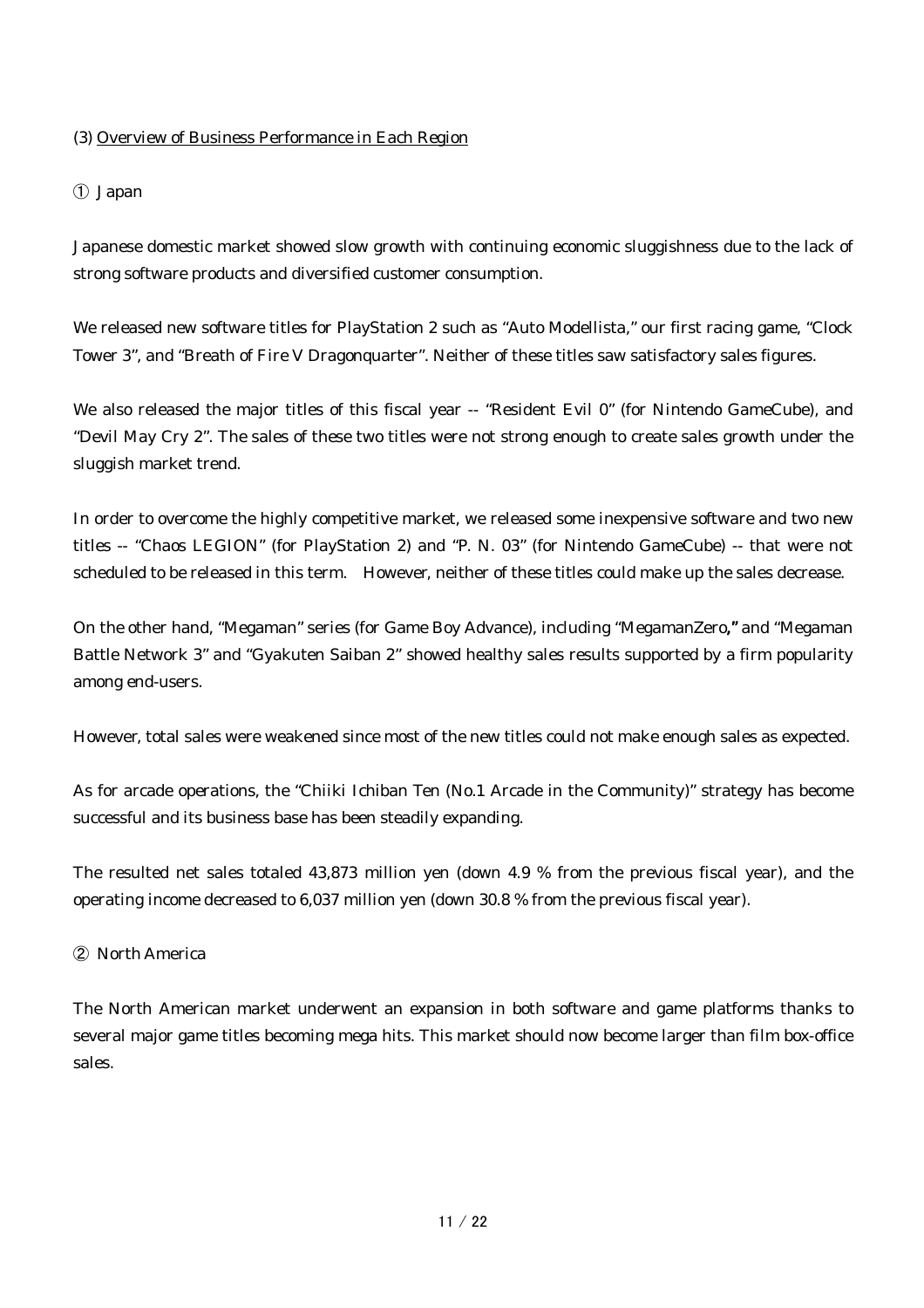# (3) Overview of Business Performance in Each Region

# ① Japan

Japanese domestic market showed slow growth with continuing economic sluggishness due to the lack of strong software products and diversified customer consumption.

We released new software titles for PlayStation 2 such as "Auto Modellista," our first racing game, "Clock Tower 3", and "Breath of Fire V Dragonquarter". Neither of these titles saw satisfactory sales figures.

We also released the major titles of this fiscal year -- "Resident Evil 0" (for Nintendo GameCube), and "Devil May Cry 2". The sales of these two titles were not strong enough to create sales growth under the sluggish market trend.

In order to overcome the highly competitive market, we released some inexpensive software and two new titles -- "Chaos LEGION" (for PlayStation 2) and "P. N. 03" (for Nintendo GameCube) -- that were not scheduled to be released in this term. However, neither of these titles could make up the sales decrease.

On the other hand, "Megaman" series (for Game Boy Advance), including "MegamanZero,"and "Megaman Battle Network 3" and "Gyakuten Saiban 2" showed healthy sales results supported by a firm popularity among end-users.

However, total sales were weakened since most of the new titles could not make enough sales as expected.

As for arcade operations, the "Chiiki Ichiban Ten (No.1 Arcade in the Community)" strategy has become successful and its business base has been steadily expanding.

The resulted net sales totaled 43,873 million yen (down 4.9 % from the previous fiscal year), and the operating income decreased to 6,037 million yen (down 30.8 % from the previous fiscal year).

# ② North America

The North American market underwent an expansion in both software and game platforms thanks to several major game titles becoming mega hits. This market should now become larger than film box-office sales.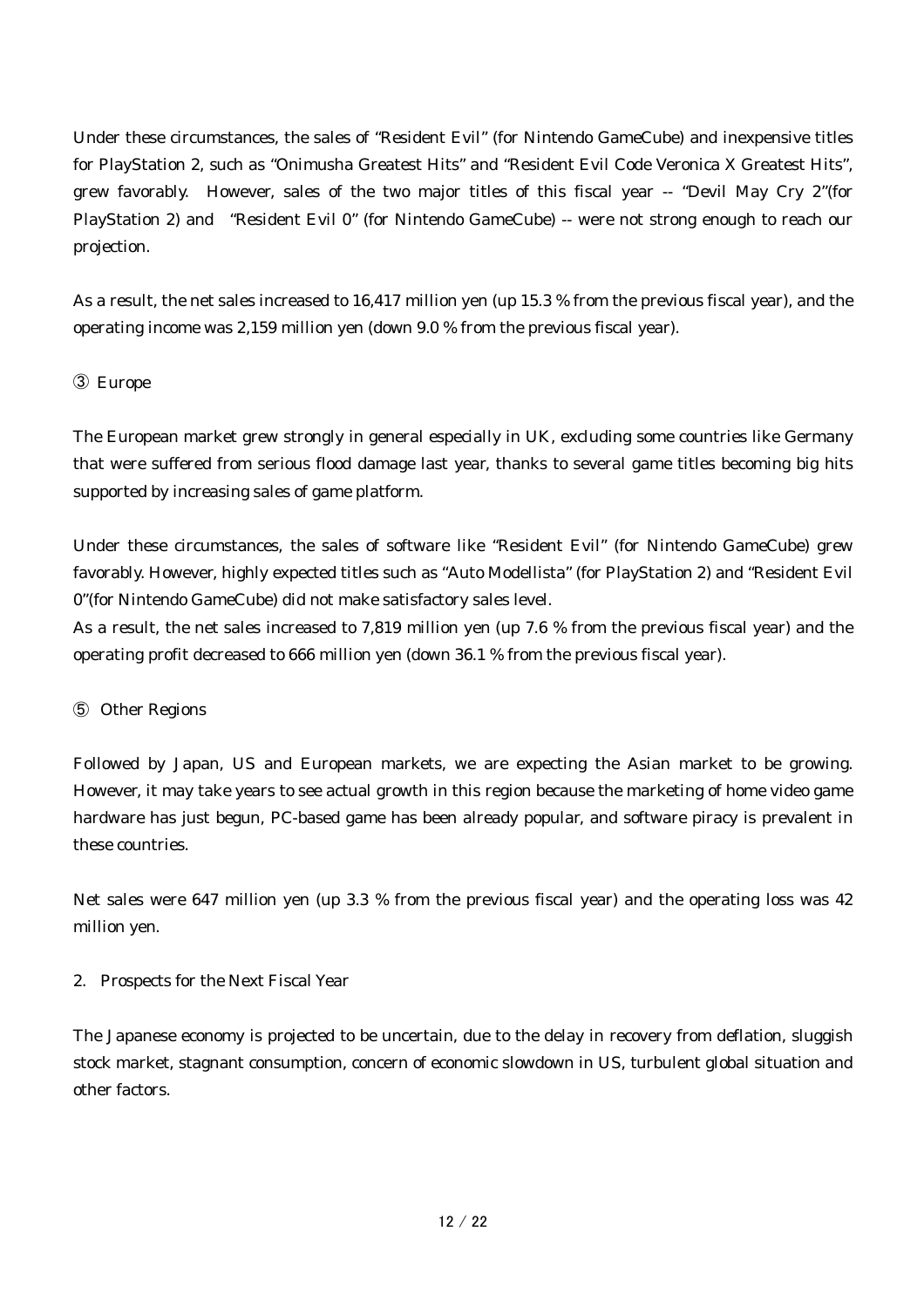Under these circumstances, the sales of "Resident Evil" (for Nintendo GameCube) and inexpensive titles for PlayStation 2, such as "Onimusha Greatest Hits" and "Resident Evil Code Veronica X Greatest Hits", grew favorably. However, sales of the two major titles of this fiscal year -- "Devil May Cry 2"(for PlayStation 2) and "Resident Evil 0" (for Nintendo GameCube) -- were not strong enough to reach our projection.

As a result, the net sales increased to 16,417 million yen (up 15.3 % from the previous fiscal year), and the operating income was 2,159 million yen (down 9.0 % from the previous fiscal year).

# ③ Europe

The European market grew strongly in general especially in UK, excluding some countries like Germany that were suffered from serious flood damage last year, thanks to several game titles becoming big hits supported by increasing sales of game platform.

Under these circumstances, the sales of software like "Resident Evil" (for Nintendo GameCube) grew favorably. However, highly expected titles such as "Auto Modellista" (for PlayStation 2) and "Resident Evil 0"(for Nintendo GameCube) did not make satisfactory sales level.

As a result, the net sales increased to 7,819 million yen (up 7.6 % from the previous fiscal year) and the operating profit decreased to 666 million yen (down 36.1 % from the previous fiscal year).

# ⑤ Other Regions

Followed by Japan, US and European markets, we are expecting the Asian market to be growing. However, it may take years to see actual growth in this region because the marketing of home video game hardware has just begun, PC-based game has been already popular, and software piracy is prevalent in these countries.

Net sales were 647 million yen (up 3.3 % from the previous fiscal year) and the operating loss was 42 million yen.

# 2. Prospects for the Next Fiscal Year

The Japanese economy is projected to be uncertain, due to the delay in recovery from deflation, sluggish stock market, stagnant consumption, concern of economic slowdown in US, turbulent global situation and other factors.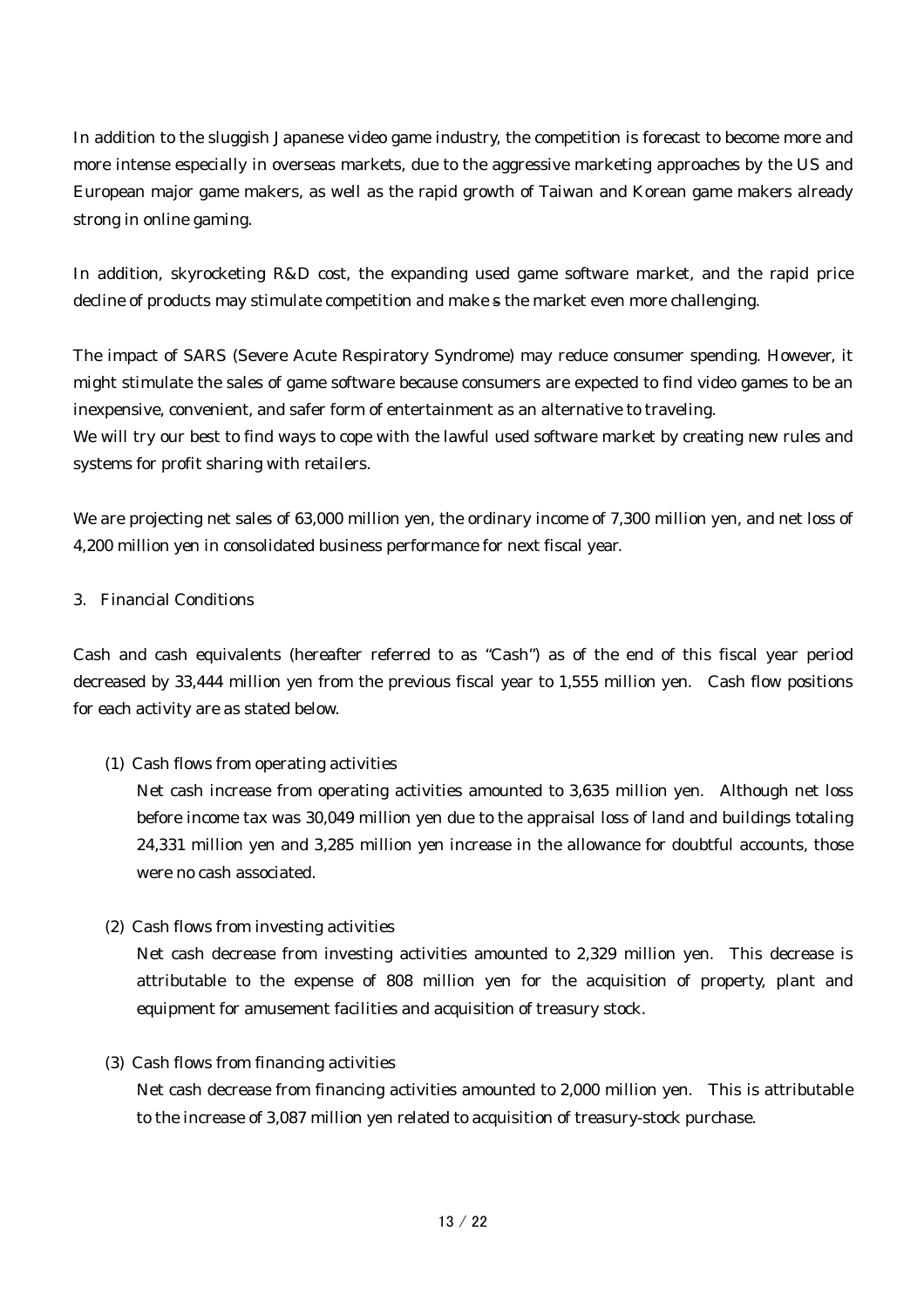In addition to the sluggish Japanese video game industry, the competition is forecast to become more and more intense especially in overseas markets, due to the aggressive marketing approaches by the US and European major game makers, as well as the rapid growth of Taiwan and Korean game makers already strong in online gaming.

In addition, skyrocketing R&D cost, the expanding used game software market, and the rapid price decline of products may stimulate competition and make s the market even more challenging.

The impact of SARS (Severe Acute Respiratory Syndrome) may reduce consumer spending. However, it might stimulate the sales of game software because consumers are expected to find video games to be an inexpensive, convenient, and safer form of entertainment as an alternative to traveling. We will try our best to find ways to cope with the lawful used software market by creating new rules and systems for profit sharing with retailers.

We are projecting net sales of 63,000 million yen, the ordinary income of 7,300 million yen, and net loss of 4,200 million yen in consolidated business performance for next fiscal year.

# 3. Financial Conditions

Cash and cash equivalents (hereafter referred to as "Cash") as of the end of this fiscal year period decreased by 33,444 million yen from the previous fiscal year to 1,555 million yen. Cash flow positions for each activity are as stated below.

# (1) Cash flows from operating activities

Net cash increase from operating activities amounted to 3,635 million yen. Although net loss before income tax was 30,049 million yen due to the appraisal loss of land and buildings totaling 24,331 million yen and 3,285 million yen increase in the allowance for doubtful accounts, those were no cash associated.

#### (2) Cash flows from investing activities

Net cash decrease from investing activities amounted to 2,329 million yen. This decrease is attributable to the expense of 808 million yen for the acquisition of property, plant and equipment for amusement facilities and acquisition of treasury stock.

#### (3) Cash flows from financing activities

Net cash decrease from financing activities amounted to 2,000 million yen. This is attributable to the increase of 3,087 million yen related to acquisition of treasury-stock purchase.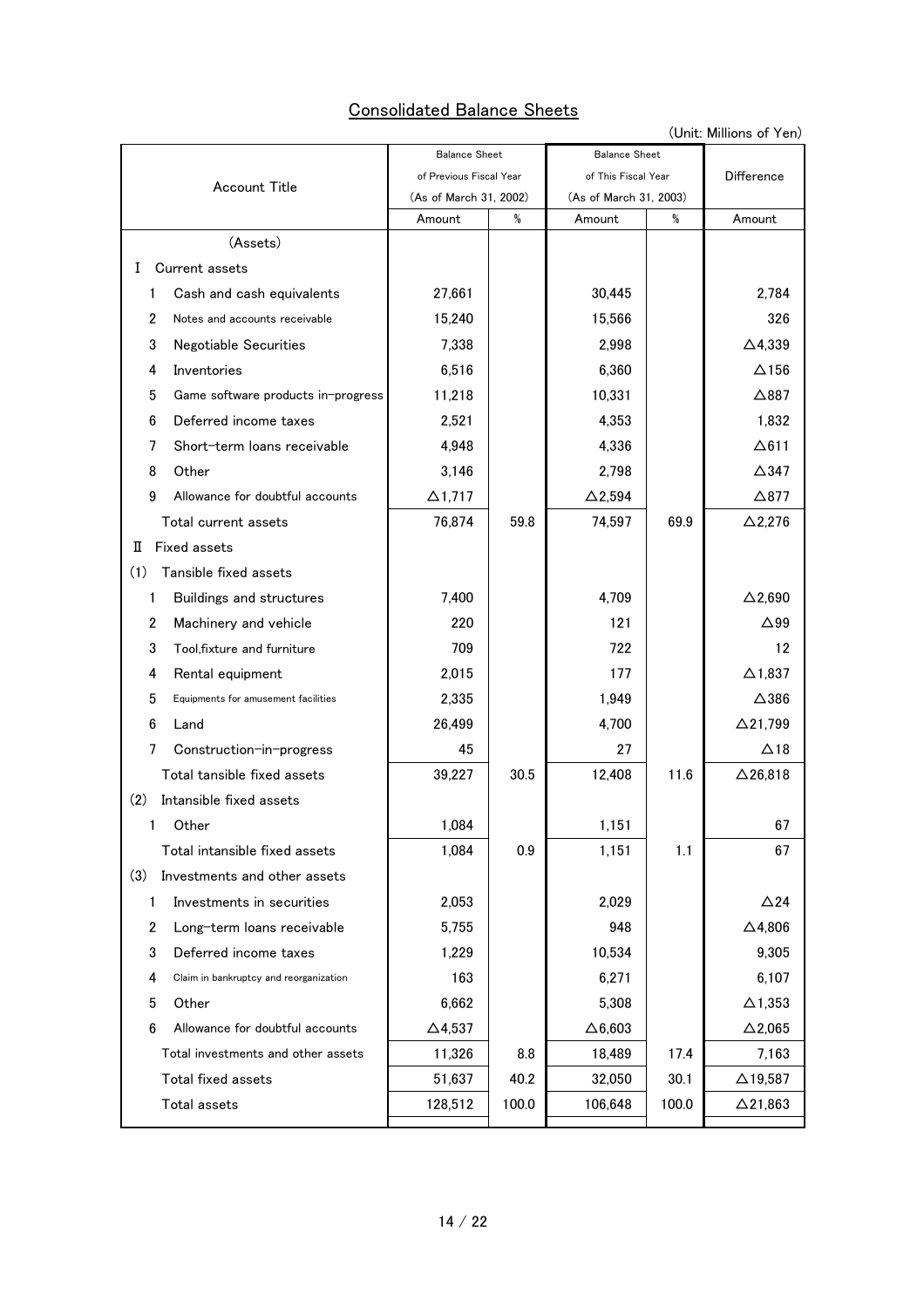# Consolidated Balance Sheets

(Unit: Millions of Yen)

|                                                 | <b>Balance Sheet</b>    |       | <b>Balance Sheet</b>   |            |                   |
|-------------------------------------------------|-------------------------|-------|------------------------|------------|-------------------|
| <b>Account Title</b>                            | of Previous Fiscal Year |       | of This Fiscal Year    | Difference |                   |
|                                                 | (As of March 31, 2002)  |       | (As of March 31, 2003) |            |                   |
|                                                 | Amount                  | %     | Amount                 | %          | Amount            |
| (Assets)                                        |                         |       |                        |            |                   |
| Current assets<br>Ι.                            |                         |       |                        |            |                   |
| Cash and cash equivalents<br>$\mathbf{1}$       | 27,661                  |       | 30,445                 |            | 2.784             |
| $\overline{2}$<br>Notes and accounts receivable | 15,240                  |       | 15,566                 |            | 326               |
| 3<br>Negotiable Securities                      | 7,338                   |       | 2,998                  |            | $\triangle$ 4,339 |
| Inventories<br>4                                | 6,516                   |       | 6,360                  |            | $\Delta$ 156      |
| 5<br>Game software products in-progress         | 11,218                  |       | 10,331                 |            | $\triangle$ 887   |
| 6<br>Deferred income taxes                      | 2,521                   |       | 4,353                  |            | 1,832             |
| Short-term loans receivable<br>7                | 4,948                   |       | 4,336                  |            | $\Delta$ 611      |
| 8<br>Other                                      | 3,146                   |       | 2,798                  |            | $\triangle$ 347   |
| 9<br>Allowance for doubtful accounts            | $\Delta$ 1,717          |       | $\Delta$ 2,594         |            | $\triangle$ 877   |
| Total current assets                            | 76,874                  | 59.8  | 74,597                 | 69.9       | $\Delta$ 2,276    |
| <b>Fixed assets</b><br>П                        |                         |       |                        |            |                   |
| (1)<br>Tansible fixed assets                    |                         |       |                        |            |                   |
| 1<br>Buildings and structures                   | 7,400                   |       | 4,709                  |            | $\Delta$ 2,690    |
| Machinery and vehicle<br>2                      | 220                     |       | 121                    |            | $\triangle$ 99    |
| 3<br>Tool, fixture and furniture                | 709                     |       | 722                    |            | 12                |
| Rental equipment<br>4                           | 2,015                   |       | 177                    |            | $\Delta$ 1,837    |
| 5<br>Equipments for amusement facilities        | 2,335                   |       | 1,949                  |            | $\triangle$ 386   |
| 6<br>Land                                       | 26,499                  |       | 4,700                  |            | $\Delta$ 21,799   |
| 7<br>Construction-in-progress                   | 45                      |       | 27                     |            | ∆18               |
| Total tansible fixed assets                     | 39,227                  | 30.5  | 12,408                 | 11.6       | $\Delta$ 26,818   |
| (2)<br>Intansible fixed assets                  |                         |       |                        |            |                   |
| 1<br>Other                                      | 1,084                   |       | 1,151                  |            | 67                |
| Total intansible fixed assets                   | 1,084                   | 0.9   | 1,151                  | 1.1        | 67                |
| (3)<br>Investments and other assets             |                         |       |                        |            |                   |
| Investments in securities<br>$\mathbf{1}$       | 2,053                   |       | 2,029                  |            | $\triangle$ 24    |
| 2<br>Long-term loans receivable                 | 5,755                   |       | 948                    |            | $\Delta$ 4,806    |
| 3<br>Deferred income taxes                      | 1,229                   |       | 10,534                 |            | 9,305             |
| 4<br>Claim in bankruptcy and reorganization     | 163                     |       | 6,271                  |            | 6,107             |
| 5<br>Other                                      | 6,662                   |       | 5,308                  |            | $\Delta$ 1,353    |
| 6<br>Allowance for doubtful accounts            | $\Delta$ 4,537          |       | $\Delta 6,603$         |            | $\Delta$ 2,065    |
| Total investments and other assets              | 11,326                  | 8.8   | 18,489                 | 17.4       | 7,163             |
| Total fixed assets                              | 51,637                  | 40.2  | 32,050                 | 30.1       | $\Delta$ 19,587   |
| Total assets                                    | 128,512                 | 100.0 | 106,648                | 100.0      | $\Delta$ 21,863   |
|                                                 |                         |       |                        |            |                   |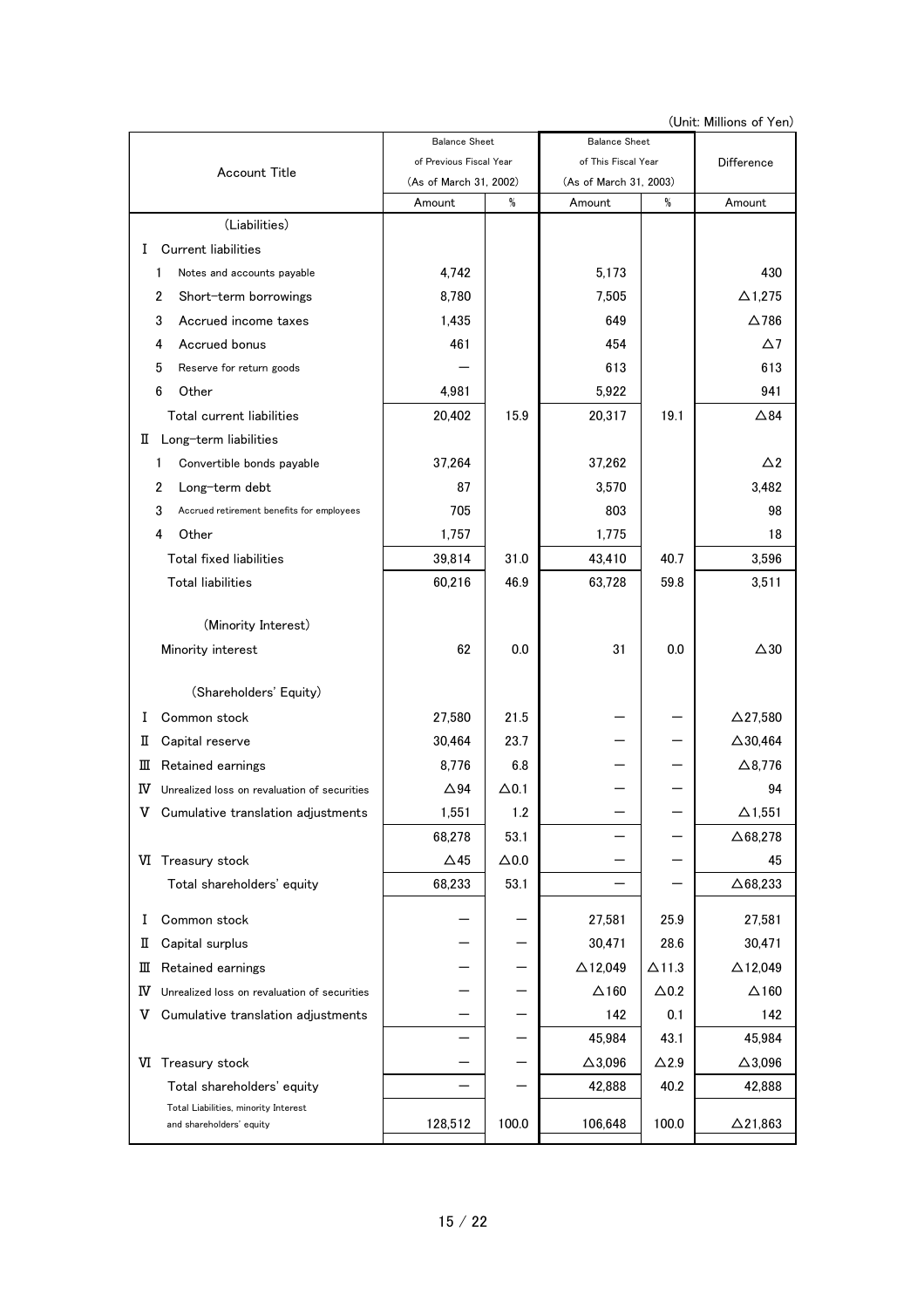(Unit: Millions of Yen)

|                                                    | <b>Balance Sheet</b>    |              | <b>Balance Sheet</b>   |               |                    |
|----------------------------------------------------|-------------------------|--------------|------------------------|---------------|--------------------|
| Account Title                                      | of Previous Fiscal Year |              | of This Fiscal Year    | Difference    |                    |
|                                                    | (As of March 31, 2002)  |              | (As of March 31, 2003) |               |                    |
|                                                    | Amount                  | %            | Amount                 | %             | Amount             |
| (Liabilities)                                      |                         |              |                        |               |                    |
| <b>Current liabilities</b><br>L                    |                         |              |                        |               |                    |
| Notes and accounts payable<br>1                    | 4,742                   |              | 5,173                  |               | 430                |
| 2<br>Short-term borrowings                         | 8,780                   |              | 7,505                  |               | $\Delta$ 1,275     |
| 3<br>Accrued income taxes                          | 1,435                   |              | 649                    |               | $\Delta$ 786       |
| Accrued bonus<br>4                                 | 461                     |              | 454                    |               | $\Delta$ 7         |
| 5<br>Reserve for return goods                      |                         |              | 613                    |               | 613                |
| 6<br>Other                                         | 4,981                   |              | 5,922                  |               | 941                |
| Total current liabilities                          | 20,402                  | 15.9         | 20,317                 | 19.1          | $\triangle 84$     |
| Long-term liabilities<br>П.                        |                         |              |                        |               |                    |
| Convertible bonds payable<br>1                     | 37,264                  |              | 37,262                 |               | $\triangle$ 2      |
| 2<br>Long-term debt                                | 87                      |              | 3,570                  |               | 3,482              |
| 3<br>Accrued retirement benefits for employees     | 705                     |              | 803                    |               | 98                 |
| 4<br>Other                                         | 1,757                   |              | 1,775                  |               | 18                 |
| <b>Total fixed liabilities</b>                     | 39,814                  | 31.0         | 43,410                 | 40.7          | 3,596              |
| <b>Total liabilities</b>                           | 60,216                  | 46.9         | 63,728                 | 59.8          | 3,511              |
|                                                    |                         |              |                        |               |                    |
| (Minority Interest)                                |                         |              |                        |               |                    |
| Minority interest                                  | 62                      | 0.0          | 31                     | 0.0           | $\triangle 30$     |
|                                                    |                         |              |                        |               |                    |
| (Shareholders' Equity)                             |                         |              |                        |               |                    |
| Common stock<br>Ι.                                 | 27,580                  | 21.5         |                        |               | $\Delta$ 27,580    |
| Capital reserve<br>п                               | 30,464                  | 23.7         |                        |               | $\triangle$ 30,464 |
| Retained earnings<br>Ш                             | 8,776                   | 6.8          |                        |               | $\Delta$ 8,776     |
| Unrealized loss on revaluation of securities<br>IV | $\Delta$ 94             | $\Delta$ 0.1 |                        |               | 94                 |
| v<br>Cumulative translation adjustments            | 1,551                   | 1.2          |                        |               | $\Delta$ 1,551     |
|                                                    | 68,278                  | 53.1         |                        |               | $\Delta$ 68,278    |
| VI Treasury stock                                  | $\Delta$ 45             | $\Delta 0.0$ |                        |               | 45                 |
| Total shareholders' equity                         | 68,233                  | 53.1         |                        |               | $\Delta$ 68,233    |
| Common stock<br>I                                  |                         |              | 27,581                 | 25.9          | 27,581             |
| Capital surplus<br>п                               |                         |              | 30,471                 | 28.6          | 30,471             |
| Ш<br>Retained earnings                             |                         |              | $\triangle$ 12,049     | $\Delta$ 11.3 | $\Delta$ 12,049    |
| IV<br>Unrealized loss on revaluation of securities |                         |              | $\Delta$ 160           | $\Delta$ 0.2  | $\Delta$ 160       |
| Cumulative translation adjustments<br>v            |                         |              | 142                    | 0.1           | 142                |
|                                                    |                         |              | 45,984                 | 43.1          | 45,984             |
| Treasury stock<br>VI                               |                         |              | $\Delta$ 3,096         | $\Delta$ 2.9  | $\Delta$ 3,096     |
| Total shareholders' equity                         |                         |              | 42,888                 | 40.2          | 42,888             |
| Total Liabilities, minority Interest               |                         |              |                        |               |                    |
| and shareholders' equity                           | 128,512                 | 100.0        | 106,648                | 100.0         | $\Delta$ 21,863    |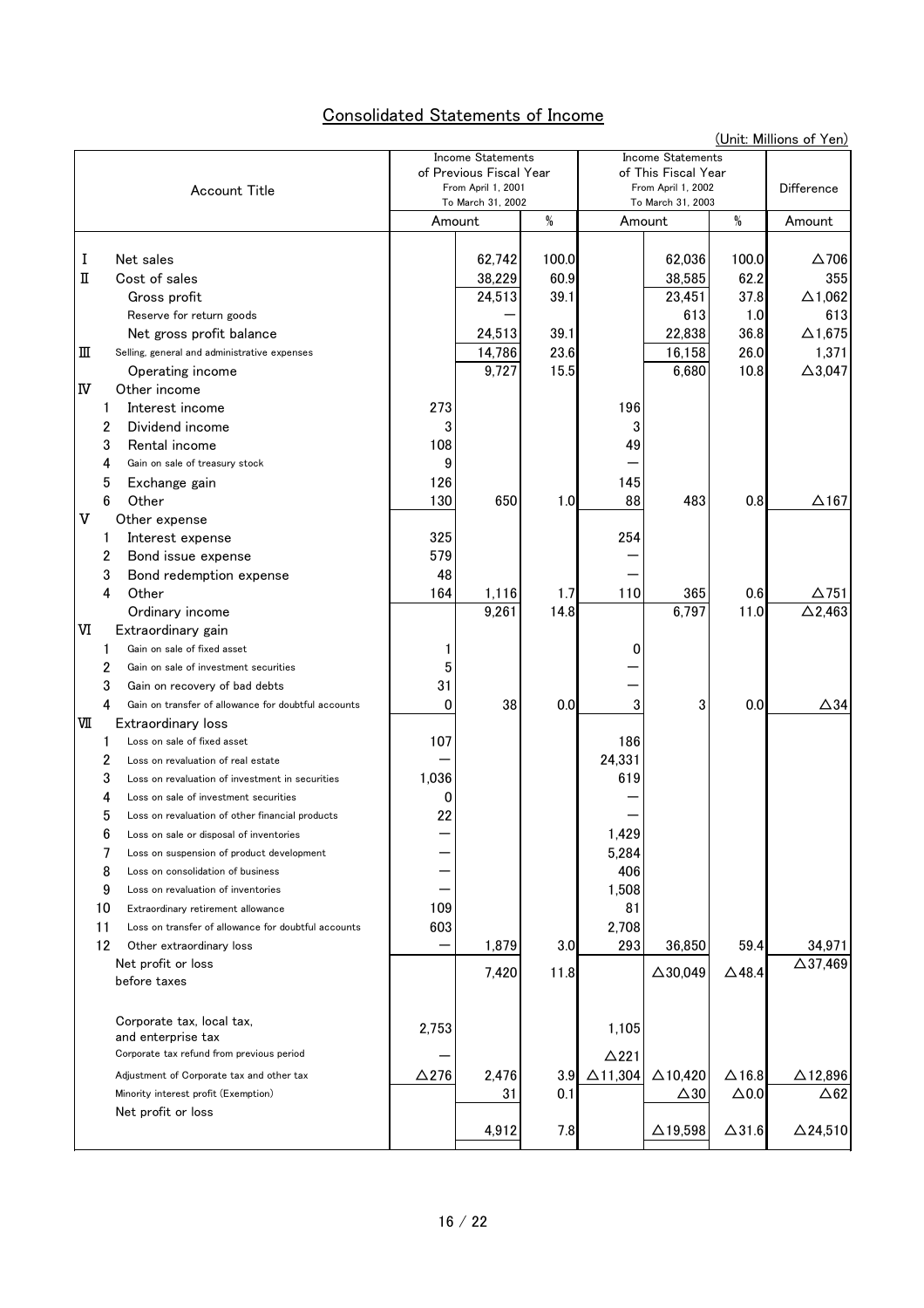# Consolidated Statements of Income

|             | (Unit: Millions of Yen)                             |                                         |        |                                         |                          |                    |                  |                    |
|-------------|-----------------------------------------------------|-----------------------------------------|--------|-----------------------------------------|--------------------------|--------------------|------------------|--------------------|
|             |                                                     | <b>Income Statements</b>                |        |                                         | <b>Income Statements</b> |                    |                  |                    |
|             |                                                     | of Previous Fiscal Year                 |        |                                         | of This Fiscal Year      |                    |                  |                    |
|             | <b>Account Title</b>                                | From April 1, 2001<br>To March 31, 2002 |        | From April 1, 2002<br>To March 31, 2003 |                          | <b>Difference</b>  |                  |                    |
|             |                                                     |                                         | Amount | $\%$                                    |                          | Amount             | %                | Amount             |
|             |                                                     |                                         |        |                                         |                          |                    |                  |                    |
| I           | Net sales                                           |                                         | 62,742 | 100.0                                   |                          | 62,036             | 100.0            | $\Delta$ 706       |
| П           | Cost of sales                                       |                                         | 38,229 | 60.9                                    |                          | 38,585             | 62.2             | 355                |
|             | Gross profit                                        |                                         | 24,513 | 39.1                                    |                          | 23,451             | 37.8             | $\Delta$ 1,062     |
|             | Reserve for return goods                            |                                         |        |                                         |                          | 613                | 1.0              | 613                |
|             | Net gross profit balance                            |                                         | 24,513 | 39.1                                    |                          | 22,838             | 36.8             | $\Delta$ 1,675     |
| Ш           | Selling, general and administrative expenses        |                                         | 14,786 | 23.6                                    |                          | 16,158             | 26.0             | 1,371              |
|             | Operating income                                    |                                         | 9,727  | 15.5                                    |                          | 6,680              | 10.8             | $\Delta$ 3,047     |
| ΙV          | Other income                                        |                                         |        |                                         |                          |                    |                  |                    |
| 1.          | Interest income                                     | 273                                     |        |                                         | 196                      |                    |                  |                    |
| 2           | Dividend income                                     |                                         |        |                                         | 3                        |                    |                  |                    |
| 3           | Rental income                                       | 108                                     |        |                                         | 49                       |                    |                  |                    |
| 4           | Gain on sale of treasury stock                      | 9                                       |        |                                         |                          |                    |                  |                    |
| 5           | Exchange gain                                       | 126                                     |        |                                         | 145                      |                    |                  |                    |
| 6           | Other                                               | 130                                     | 650    | 1.0                                     | 88                       | 483                | 0.8              | $\Delta$ 167       |
| $\mathbf v$ | Other expense                                       |                                         |        |                                         |                          |                    |                  |                    |
| 1           | Interest expense                                    | 325                                     |        |                                         | 254                      |                    |                  |                    |
| 2           | Bond issue expense                                  | 579                                     |        |                                         |                          |                    |                  |                    |
| 3           | Bond redemption expense                             | 48                                      |        |                                         |                          |                    |                  |                    |
| 4           | Other                                               | 164                                     | 1,116  | 1.7                                     | 110                      | 365                | 0.6              | $\Delta$ 751       |
|             | Ordinary income                                     |                                         | 9,261  | 14.8                                    |                          | 6,797              | 11.0             | $\Delta$ 2,463     |
| IЛ          | Extraordinary gain                                  |                                         |        |                                         |                          |                    |                  |                    |
| 1           | Gain on sale of fixed asset                         |                                         |        |                                         | 0                        |                    |                  |                    |
| 2           | Gain on sale of investment securities               | 5                                       |        |                                         |                          |                    |                  |                    |
| 3           | Gain on recovery of bad debts                       | 31                                      |        |                                         |                          |                    |                  |                    |
| 4           | Gain on transfer of allowance for doubtful accounts | 0                                       | 38     | 0.0                                     | 3                        | 3                  | 0.0              | $\triangle 34$     |
| VШ          | Extraordinary loss                                  |                                         |        |                                         |                          |                    |                  |                    |
| 1           | Loss on sale of fixed asset                         | 107                                     |        |                                         | 186                      |                    |                  |                    |
| 2           | Loss on revaluation of real estate                  |                                         |        |                                         | 24,331                   |                    |                  |                    |
| 3           | Loss on revaluation of investment in securities     | 1,036                                   |        |                                         | 619                      |                    |                  |                    |
| 4           | Loss on sale of investment securities               | 0                                       |        |                                         |                          |                    |                  |                    |
| 5           | Loss on revaluation of other financial products     | 22                                      |        |                                         |                          |                    |                  |                    |
| 6           | Loss on sale or disposal of inventories             |                                         |        |                                         | 1,429                    |                    |                  |                    |
| 7           | Loss on suspension of product development           |                                         |        |                                         | 5,284                    |                    |                  |                    |
| 8           | Loss on consolidation of business                   |                                         |        |                                         | 406                      |                    |                  |                    |
| 9           | Loss on revaluation of inventories                  |                                         |        |                                         | 1,508                    |                    |                  |                    |
| 10          | Extraordinary retirement allowance                  | 109                                     |        |                                         | 81                       |                    |                  |                    |
| 11          | Loss on transfer of allowance for doubtful accounts | 603                                     |        |                                         | 2,708                    |                    |                  |                    |
| 12          | Other extraordinary loss                            |                                         | 1,879  | 3.0                                     | 293                      | 36,850             | 59.4             | 34,971             |
|             | Net profit or loss                                  |                                         | 7,420  | 11.8                                    |                          | $\triangle$ 30,049 | $\triangle$ 48.4 | $\Delta$ 37,469    |
|             | before taxes                                        |                                         |        |                                         |                          |                    |                  |                    |
|             | Corporate tax, local tax,                           |                                         |        |                                         |                          |                    |                  |                    |
|             | and enterprise tax                                  | 2,753                                   |        |                                         | 1,105                    |                    |                  |                    |
|             | Corporate tax refund from previous period           |                                         |        |                                         | $\Delta$ 221             |                    |                  |                    |
|             | Adjustment of Corporate tax and other tax           | $\Delta$ 276                            | 2,476  | 3.9                                     | $\triangle$ 11,304       | $\triangle$ 10,420 | $\Delta$ 16.8    | $\Delta$ 12,896    |
|             | Minority interest profit (Exemption)                |                                         | 31     | 0.1                                     |                          | $\triangle 30$     | $\Delta 0.0$     | $\triangle 62$     |
|             | Net profit or loss                                  |                                         |        |                                         |                          |                    |                  |                    |
|             |                                                     |                                         | 4,912  | 7.8                                     |                          | $\Delta$ 19,598    | $\Delta$ 31.6    | $\triangle$ 24,510 |
|             |                                                     |                                         |        |                                         |                          |                    |                  |                    |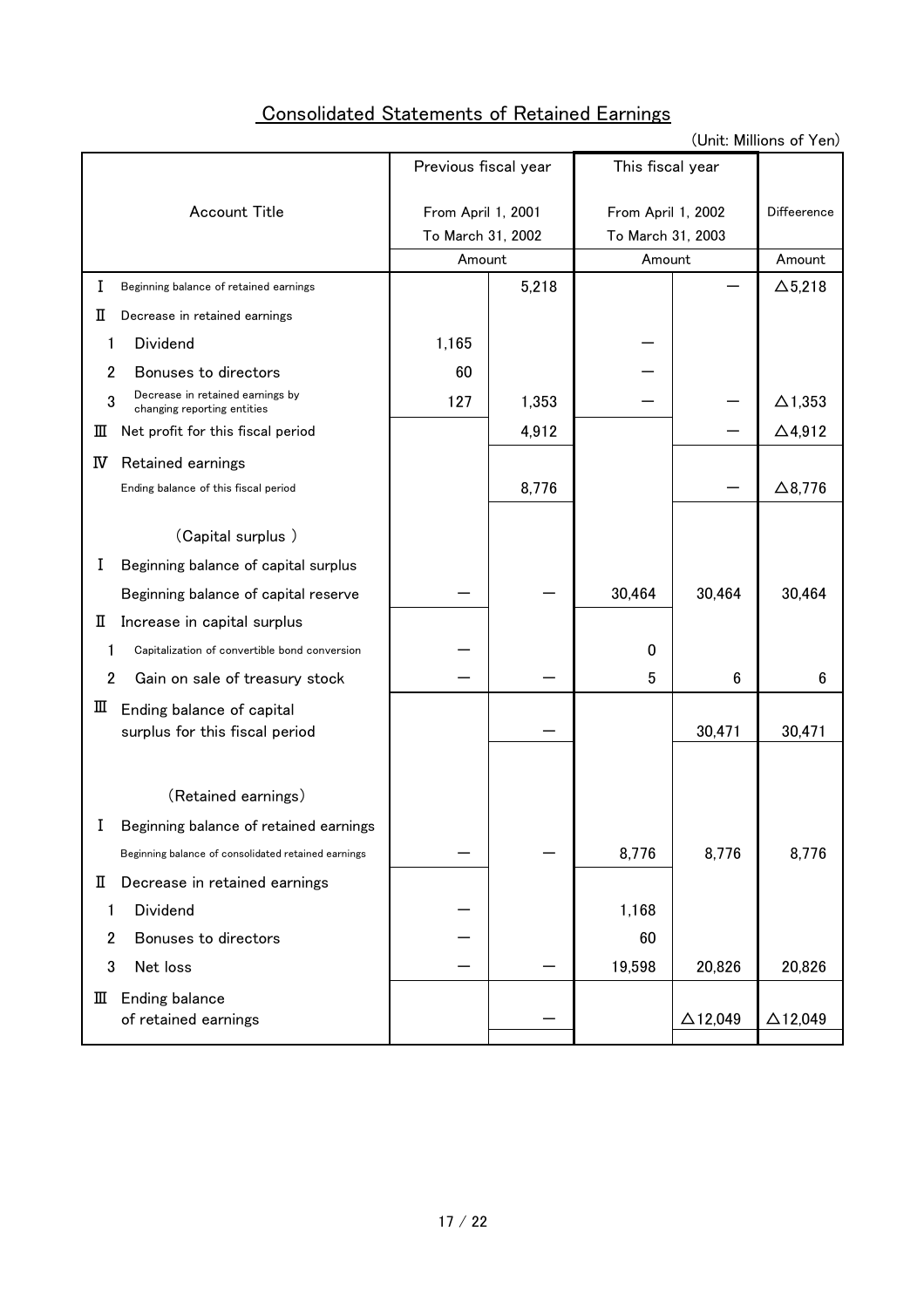# Consolidated Statements of Retained Earnings

(Unit: Millions of Yen)

|                                                                      | Previous fiscal year |       | This fiscal year   |                    |                    |
|----------------------------------------------------------------------|----------------------|-------|--------------------|--------------------|--------------------|
| Account Title                                                        | From April 1, 2001   |       | From April 1, 2002 | Diffeerence        |                    |
|                                                                      | To March 31, 2002    |       | To March 31, 2003  |                    |                    |
|                                                                      | Amount               |       | Amount             |                    | Amount             |
| Beginning balance of retained earnings<br>Ι                          |                      | 5,218 |                    |                    | $\Delta$ 5,218     |
| п<br>Decrease in retained earnings                                   |                      |       |                    |                    |                    |
| Dividend<br>1                                                        | 1,165                |       |                    |                    |                    |
| $\overline{2}$<br>Bonuses to directors                               | 60                   |       |                    |                    |                    |
| Decrease in retained earnings by<br>3<br>changing reporting entities | 127                  | 1,353 |                    |                    | $\Delta$ 1,353     |
| Net profit for this fiscal period<br>Ш                               |                      | 4,912 |                    |                    | $\Delta$ 4,912     |
| IV<br>Retained earnings                                              |                      |       |                    |                    |                    |
| Ending balance of this fiscal period                                 |                      | 8,776 |                    |                    | $\Delta$ 8,776     |
| (Capital surplus)                                                    |                      |       |                    |                    |                    |
|                                                                      |                      |       |                    |                    |                    |
| Beginning balance of capital surplus<br>I                            |                      |       |                    |                    |                    |
| Beginning balance of capital reserve                                 |                      |       | 30,464             | 30,464             | 30,464             |
| Increase in capital surplus<br>п                                     |                      |       |                    |                    |                    |
| Capitalization of convertible bond conversion<br>1                   |                      |       | 0                  |                    |                    |
| $\overline{2}$<br>Gain on sale of treasury stock                     |                      |       | 5                  | 6                  | 6                  |
| Ш<br>Ending balance of capital<br>surplus for this fiscal period     |                      |       |                    | 30,471             | 30,471             |
|                                                                      |                      |       |                    |                    |                    |
| (Retained earnings)                                                  |                      |       |                    |                    |                    |
| Beginning balance of retained earnings<br>T                          |                      |       |                    |                    |                    |
| Beginning balance of consolidated retained earnings                  |                      |       | 8,776              | 8,776              | 8,776              |
| Decrease in retained earnings<br>П                                   |                      |       |                    |                    |                    |
| Dividend<br>1                                                        |                      |       | 1,168              |                    |                    |
| Bonuses to directors<br>2                                            |                      |       | 60                 |                    |                    |
| 3<br>Net loss                                                        |                      |       | 19,598             | 20,826             | 20,826             |
| Ending balance<br>Ш                                                  |                      |       |                    |                    |                    |
| of retained earnings                                                 |                      |       |                    | $\triangle$ 12,049 | $\triangle$ 12,049 |
|                                                                      |                      |       |                    |                    |                    |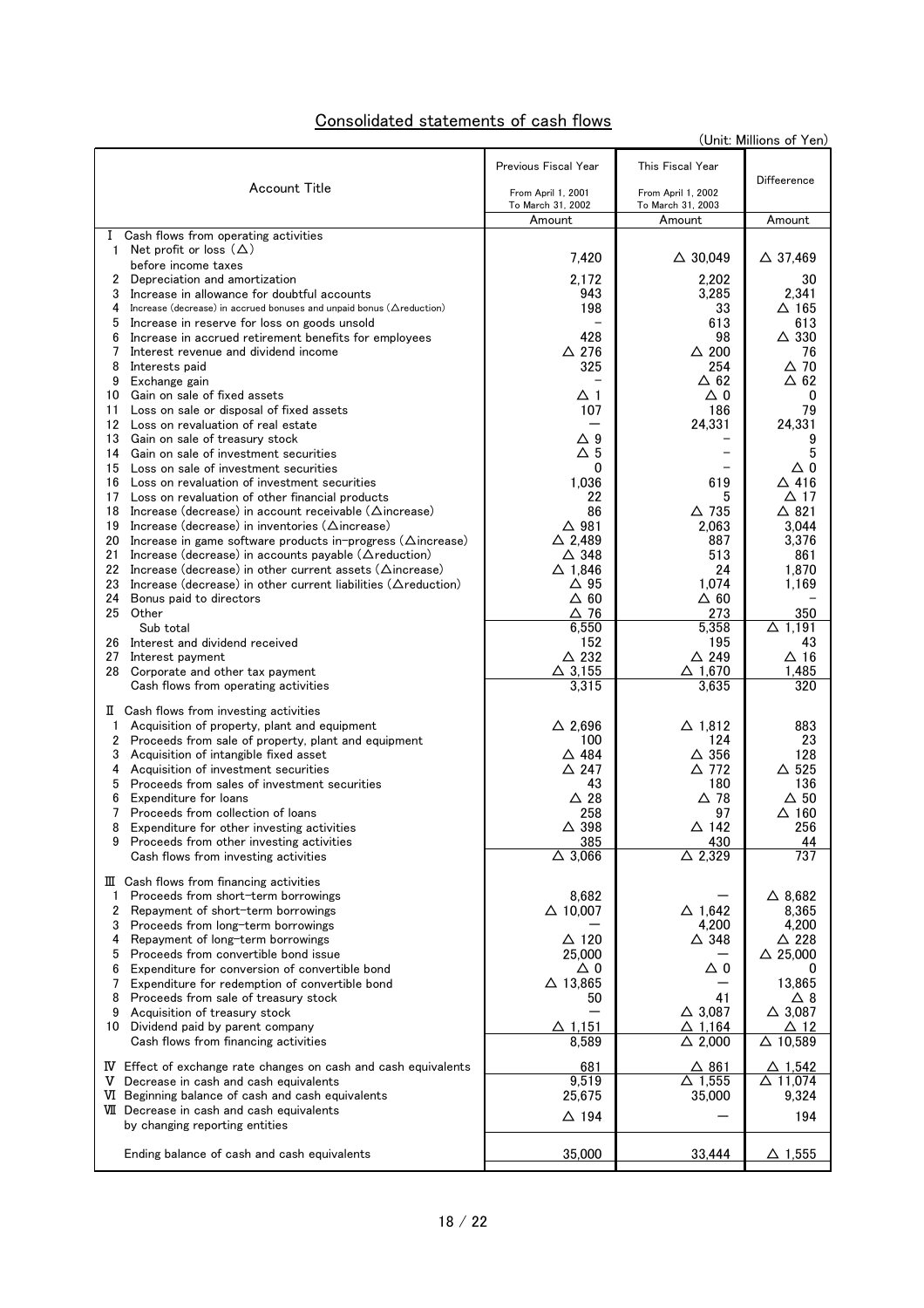| Consolidated statements of cash flows |
|---------------------------------------|
|---------------------------------------|

| Previous Fiscal Year<br>This Fiscal Year<br>Diffeerence<br>Account Title<br>From April 1, 2001<br>From April 1, 2002<br>To March 31, 2002<br>To March 31, 2003<br>Amount<br>Amount<br>Amount<br>I Cash flows from operating activities<br>1 Net profit or loss $(\Delta)$<br>7,420<br>$\triangle$ 30,049<br>$\Delta$ 37,469<br>before income taxes<br>2,172<br>2,202<br>Depreciation and amortization<br>30<br>2<br>3<br>Increase in allowance for doubtful accounts<br>943<br>3,285<br>2,341<br>4<br>Increase (decrease) in accrued bonuses and unpaid bonus ( $\triangle$ reduction)<br>198<br>33<br>$\Delta$ 165<br>5<br>Increase in reserve for loss on goods unsold<br>613<br>613<br>$\triangle$ 330<br>428<br>98<br>6<br>Increase in accrued retirement benefits for employees<br>$\Delta$ 276<br>7<br>$\triangle$ 200<br>76<br>Interest revenue and dividend income<br>325<br>254<br>$\triangle$ 70<br>8<br>Interests paid<br>$\Delta$ 62<br>$\Delta$ 62<br>9<br>Exchange gain<br>Δ0<br>10<br>Gain on sale of fixed assets<br>Δ1<br>0<br>107<br>79<br>186<br>11<br>Loss on sale or disposal of fixed assets<br>24,331<br>24,331<br>12<br>Loss on revaluation of real estate<br>$\Delta$ 9<br>13<br>Gain on sale of treasury stock<br>9<br>$\Delta$ 5<br>5<br>Gain on sale of investment securities<br>14<br>0<br>Δ0<br>15<br>Loss on sale of investment securities<br>1,036<br>$\Delta$ 416<br>619<br>Loss on revaluation of investment securities<br>16<br>$\Delta$ 17<br>22<br>Loss on revaluation of other financial products<br>5<br>17<br>$\triangle$ 735<br>$\triangle$ 821<br>86<br>18<br>Increase (decrease) in account receivable ( $\triangle$ increase)<br>$\Delta$ 981<br>19<br>Increase (decrease) in inventories ( $\triangle$ increase)<br>2,063<br>3,044<br>20<br>$\triangle$ 2.489<br>887<br>3,376<br>Increase in game software products in-progress ( $\triangle$ increase)<br>21<br>Increase (decrease) in accounts payable ( $\triangle$ reduction)<br>△ 348<br>513<br>861<br>22<br>Increase (decrease) in other current assets ( $\Delta$ increase)<br>$\Delta$ 1,846<br>24<br>1,870<br>Increase (decrease) in other current liabilities ( $\Delta$ reduction)<br>$\Delta$ 95<br>1,074<br>1,169<br>23<br>$\Delta$ 60<br>$\Delta$ 60<br>24<br>Bonus paid to directors<br>25<br>Other<br>△ 76<br>273<br>350<br>Sub total<br>6,550<br>5,358<br>$\Delta$ 1,191<br>Interest and dividend received<br>152<br>195<br>43<br>26<br>$\triangle$ 232<br>$\triangle$ 249<br>$\Delta$ 16<br>27<br>Interest payment<br>$\Delta$ 3.155<br>$\Delta$ 1.670<br>1.485<br>28<br>Corporate and other tax payment<br>3,315<br>3,635<br>320<br>Cash flows from operating activities<br>II Cash flows from investing activities<br>$\triangle$ 2,696<br>$\Delta$ 1,812<br>883<br>Acquisition of property, plant and equipment<br>1<br>2<br>100<br>124<br>23<br>Proceeds from sale of property, plant and equipment<br>△ 484<br>$\triangle$ 356<br>128<br>3<br>Acquisition of intangible fixed asset<br>$\triangle$ 247<br>△ 772<br>△ 525<br>4<br>Acquisition of investment securities<br>5<br>Proceeds from sales of investment securities<br>43<br>180<br>136<br>Expenditure for loans<br>$\triangle$ 28<br>$\Delta$ 78<br>$\Delta$ 50<br>6<br>258<br>97<br>$\Delta$ 160<br>7<br>Proceeds from collection of loans<br>$\Delta$ 398<br>△ 142<br>256<br>8<br>Expenditure for other investing activities<br>385<br>430<br>44<br>9 Proceeds from other investing activities<br>$\Delta$ 3,066<br>$\Delta$ 2,329<br>737<br>Cash flows from investing activities<br>$\mathbb{I}$ Cash flows from financing activities<br>8.682<br>$\triangle$ 8,682<br>1<br>Proceeds from short-term borrowings<br>$\triangle$ 10,007<br>2<br>$\Delta$ 1,642<br>8,365<br>Repayment of short-term borrowings<br>4,200<br>4,200<br>3<br>Proceeds from long-term borrowings<br>$\Delta$ 120<br>$\triangle$ 348<br>$\triangle$ 228<br>4<br>Repayment of long-term borrowings<br>$\triangle$ 25,000<br>25,000<br>5<br>Proceeds from convertible bond issue<br>Δ0<br>Δ0<br>Expenditure for conversion of convertible bond<br>6<br>0<br>$\Delta$ 13,865<br>13,865<br>Expenditure for redemption of convertible bond<br>7<br>41<br>8<br>Proceeds from sale of treasury stock<br>50<br>Δ8<br>$\triangle$ 3,087<br>$\triangle$ 3,087<br>9<br>Acquisition of treasury stock<br>$\Delta$ 1,151<br>$\Delta$ 1.164<br>$\Delta$ 12<br>Dividend paid by parent company<br>10<br>$\Delta$ 2,000<br>8,589<br>$\triangle$ 10,589<br>Cash flows from financing activities<br>681<br>$\Delta$ 861<br>$\Delta$ 1,542<br>IV Effect of exchange rate changes on cash and cash equivalents<br>9,519<br>$\triangle$ 11,074<br>$\Delta$ 1,555<br>V Decrease in cash and cash equivalents<br>25,675<br>VI Beginning balance of cash and cash equivalents<br>35,000<br>9,324<br>VII Decrease in cash and cash equivalents<br>$\triangle$ 194<br>194<br>by changing reporting entities<br>35,000<br>Ending balance of cash and cash equivalents<br>33,444<br><u>∆ 1,555</u> |  | (Unit: Millions of Yen) |
|------------------------------------------------------------------------------------------------------------------------------------------------------------------------------------------------------------------------------------------------------------------------------------------------------------------------------------------------------------------------------------------------------------------------------------------------------------------------------------------------------------------------------------------------------------------------------------------------------------------------------------------------------------------------------------------------------------------------------------------------------------------------------------------------------------------------------------------------------------------------------------------------------------------------------------------------------------------------------------------------------------------------------------------------------------------------------------------------------------------------------------------------------------------------------------------------------------------------------------------------------------------------------------------------------------------------------------------------------------------------------------------------------------------------------------------------------------------------------------------------------------------------------------------------------------------------------------------------------------------------------------------------------------------------------------------------------------------------------------------------------------------------------------------------------------------------------------------------------------------------------------------------------------------------------------------------------------------------------------------------------------------------------------------------------------------------------------------------------------------------------------------------------------------------------------------------------------------------------------------------------------------------------------------------------------------------------------------------------------------------------------------------------------------------------------------------------------------------------------------------------------------------------------------------------------------------------------------------------------------------------------------------------------------------------------------------------------------------------------------------------------------------------------------------------------------------------------------------------------------------------------------------------------------------------------------------------------------------------------------------------------------------------------------------------------------------------------------------------------------------------------------------------------------------------------------------------------------------------------------------------------------------------------------------------------------------------------------------------------------------------------------------------------------------------------------------------------------------------------------------------------------------------------------------------------------------------------------------------------------------------------------------------------------------------------------------------------------------------------------------------------------------------------------------------------------------------------------------------------------------------------------------------------------------------------------------------------------------------------------------------------------------------------------------------------------------------------------------------------------------------------------------------------------------------------------------------------------------------------------------------------------------------------------------------------------------------------------------------------------------------------------------------------------------------------------------------------------------------------------------------------------------------------------------------------------------------------------------------------------------------------------------------------------------------------------------------------------------------------------------------------------------------------------------------------------------------------------------------------------------------------------------------------------------------------------------------------------------------------------------------------------------------|--|-------------------------|
|                                                                                                                                                                                                                                                                                                                                                                                                                                                                                                                                                                                                                                                                                                                                                                                                                                                                                                                                                                                                                                                                                                                                                                                                                                                                                                                                                                                                                                                                                                                                                                                                                                                                                                                                                                                                                                                                                                                                                                                                                                                                                                                                                                                                                                                                                                                                                                                                                                                                                                                                                                                                                                                                                                                                                                                                                                                                                                                                                                                                                                                                                                                                                                                                                                                                                                                                                                                                                                                                                                                                                                                                                                                                                                                                                                                                                                                                                                                                                                                                                                                                                                                                                                                                                                                                                                                                                                                                                                                                                                                                                                                                                                                                                                                                                                                                                                                                                                                                                                                                                              |  |                         |
|                                                                                                                                                                                                                                                                                                                                                                                                                                                                                                                                                                                                                                                                                                                                                                                                                                                                                                                                                                                                                                                                                                                                                                                                                                                                                                                                                                                                                                                                                                                                                                                                                                                                                                                                                                                                                                                                                                                                                                                                                                                                                                                                                                                                                                                                                                                                                                                                                                                                                                                                                                                                                                                                                                                                                                                                                                                                                                                                                                                                                                                                                                                                                                                                                                                                                                                                                                                                                                                                                                                                                                                                                                                                                                                                                                                                                                                                                                                                                                                                                                                                                                                                                                                                                                                                                                                                                                                                                                                                                                                                                                                                                                                                                                                                                                                                                                                                                                                                                                                                                              |  |                         |
|                                                                                                                                                                                                                                                                                                                                                                                                                                                                                                                                                                                                                                                                                                                                                                                                                                                                                                                                                                                                                                                                                                                                                                                                                                                                                                                                                                                                                                                                                                                                                                                                                                                                                                                                                                                                                                                                                                                                                                                                                                                                                                                                                                                                                                                                                                                                                                                                                                                                                                                                                                                                                                                                                                                                                                                                                                                                                                                                                                                                                                                                                                                                                                                                                                                                                                                                                                                                                                                                                                                                                                                                                                                                                                                                                                                                                                                                                                                                                                                                                                                                                                                                                                                                                                                                                                                                                                                                                                                                                                                                                                                                                                                                                                                                                                                                                                                                                                                                                                                                                              |  |                         |
|                                                                                                                                                                                                                                                                                                                                                                                                                                                                                                                                                                                                                                                                                                                                                                                                                                                                                                                                                                                                                                                                                                                                                                                                                                                                                                                                                                                                                                                                                                                                                                                                                                                                                                                                                                                                                                                                                                                                                                                                                                                                                                                                                                                                                                                                                                                                                                                                                                                                                                                                                                                                                                                                                                                                                                                                                                                                                                                                                                                                                                                                                                                                                                                                                                                                                                                                                                                                                                                                                                                                                                                                                                                                                                                                                                                                                                                                                                                                                                                                                                                                                                                                                                                                                                                                                                                                                                                                                                                                                                                                                                                                                                                                                                                                                                                                                                                                                                                                                                                                                              |  |                         |
|                                                                                                                                                                                                                                                                                                                                                                                                                                                                                                                                                                                                                                                                                                                                                                                                                                                                                                                                                                                                                                                                                                                                                                                                                                                                                                                                                                                                                                                                                                                                                                                                                                                                                                                                                                                                                                                                                                                                                                                                                                                                                                                                                                                                                                                                                                                                                                                                                                                                                                                                                                                                                                                                                                                                                                                                                                                                                                                                                                                                                                                                                                                                                                                                                                                                                                                                                                                                                                                                                                                                                                                                                                                                                                                                                                                                                                                                                                                                                                                                                                                                                                                                                                                                                                                                                                                                                                                                                                                                                                                                                                                                                                                                                                                                                                                                                                                                                                                                                                                                                              |  |                         |
|                                                                                                                                                                                                                                                                                                                                                                                                                                                                                                                                                                                                                                                                                                                                                                                                                                                                                                                                                                                                                                                                                                                                                                                                                                                                                                                                                                                                                                                                                                                                                                                                                                                                                                                                                                                                                                                                                                                                                                                                                                                                                                                                                                                                                                                                                                                                                                                                                                                                                                                                                                                                                                                                                                                                                                                                                                                                                                                                                                                                                                                                                                                                                                                                                                                                                                                                                                                                                                                                                                                                                                                                                                                                                                                                                                                                                                                                                                                                                                                                                                                                                                                                                                                                                                                                                                                                                                                                                                                                                                                                                                                                                                                                                                                                                                                                                                                                                                                                                                                                                              |  |                         |
|                                                                                                                                                                                                                                                                                                                                                                                                                                                                                                                                                                                                                                                                                                                                                                                                                                                                                                                                                                                                                                                                                                                                                                                                                                                                                                                                                                                                                                                                                                                                                                                                                                                                                                                                                                                                                                                                                                                                                                                                                                                                                                                                                                                                                                                                                                                                                                                                                                                                                                                                                                                                                                                                                                                                                                                                                                                                                                                                                                                                                                                                                                                                                                                                                                                                                                                                                                                                                                                                                                                                                                                                                                                                                                                                                                                                                                                                                                                                                                                                                                                                                                                                                                                                                                                                                                                                                                                                                                                                                                                                                                                                                                                                                                                                                                                                                                                                                                                                                                                                                              |  |                         |
|                                                                                                                                                                                                                                                                                                                                                                                                                                                                                                                                                                                                                                                                                                                                                                                                                                                                                                                                                                                                                                                                                                                                                                                                                                                                                                                                                                                                                                                                                                                                                                                                                                                                                                                                                                                                                                                                                                                                                                                                                                                                                                                                                                                                                                                                                                                                                                                                                                                                                                                                                                                                                                                                                                                                                                                                                                                                                                                                                                                                                                                                                                                                                                                                                                                                                                                                                                                                                                                                                                                                                                                                                                                                                                                                                                                                                                                                                                                                                                                                                                                                                                                                                                                                                                                                                                                                                                                                                                                                                                                                                                                                                                                                                                                                                                                                                                                                                                                                                                                                                              |  |                         |
|                                                                                                                                                                                                                                                                                                                                                                                                                                                                                                                                                                                                                                                                                                                                                                                                                                                                                                                                                                                                                                                                                                                                                                                                                                                                                                                                                                                                                                                                                                                                                                                                                                                                                                                                                                                                                                                                                                                                                                                                                                                                                                                                                                                                                                                                                                                                                                                                                                                                                                                                                                                                                                                                                                                                                                                                                                                                                                                                                                                                                                                                                                                                                                                                                                                                                                                                                                                                                                                                                                                                                                                                                                                                                                                                                                                                                                                                                                                                                                                                                                                                                                                                                                                                                                                                                                                                                                                                                                                                                                                                                                                                                                                                                                                                                                                                                                                                                                                                                                                                                              |  |                         |
|                                                                                                                                                                                                                                                                                                                                                                                                                                                                                                                                                                                                                                                                                                                                                                                                                                                                                                                                                                                                                                                                                                                                                                                                                                                                                                                                                                                                                                                                                                                                                                                                                                                                                                                                                                                                                                                                                                                                                                                                                                                                                                                                                                                                                                                                                                                                                                                                                                                                                                                                                                                                                                                                                                                                                                                                                                                                                                                                                                                                                                                                                                                                                                                                                                                                                                                                                                                                                                                                                                                                                                                                                                                                                                                                                                                                                                                                                                                                                                                                                                                                                                                                                                                                                                                                                                                                                                                                                                                                                                                                                                                                                                                                                                                                                                                                                                                                                                                                                                                                                              |  |                         |
|                                                                                                                                                                                                                                                                                                                                                                                                                                                                                                                                                                                                                                                                                                                                                                                                                                                                                                                                                                                                                                                                                                                                                                                                                                                                                                                                                                                                                                                                                                                                                                                                                                                                                                                                                                                                                                                                                                                                                                                                                                                                                                                                                                                                                                                                                                                                                                                                                                                                                                                                                                                                                                                                                                                                                                                                                                                                                                                                                                                                                                                                                                                                                                                                                                                                                                                                                                                                                                                                                                                                                                                                                                                                                                                                                                                                                                                                                                                                                                                                                                                                                                                                                                                                                                                                                                                                                                                                                                                                                                                                                                                                                                                                                                                                                                                                                                                                                                                                                                                                                              |  |                         |
|                                                                                                                                                                                                                                                                                                                                                                                                                                                                                                                                                                                                                                                                                                                                                                                                                                                                                                                                                                                                                                                                                                                                                                                                                                                                                                                                                                                                                                                                                                                                                                                                                                                                                                                                                                                                                                                                                                                                                                                                                                                                                                                                                                                                                                                                                                                                                                                                                                                                                                                                                                                                                                                                                                                                                                                                                                                                                                                                                                                                                                                                                                                                                                                                                                                                                                                                                                                                                                                                                                                                                                                                                                                                                                                                                                                                                                                                                                                                                                                                                                                                                                                                                                                                                                                                                                                                                                                                                                                                                                                                                                                                                                                                                                                                                                                                                                                                                                                                                                                                                              |  |                         |
|                                                                                                                                                                                                                                                                                                                                                                                                                                                                                                                                                                                                                                                                                                                                                                                                                                                                                                                                                                                                                                                                                                                                                                                                                                                                                                                                                                                                                                                                                                                                                                                                                                                                                                                                                                                                                                                                                                                                                                                                                                                                                                                                                                                                                                                                                                                                                                                                                                                                                                                                                                                                                                                                                                                                                                                                                                                                                                                                                                                                                                                                                                                                                                                                                                                                                                                                                                                                                                                                                                                                                                                                                                                                                                                                                                                                                                                                                                                                                                                                                                                                                                                                                                                                                                                                                                                                                                                                                                                                                                                                                                                                                                                                                                                                                                                                                                                                                                                                                                                                                              |  |                         |
|                                                                                                                                                                                                                                                                                                                                                                                                                                                                                                                                                                                                                                                                                                                                                                                                                                                                                                                                                                                                                                                                                                                                                                                                                                                                                                                                                                                                                                                                                                                                                                                                                                                                                                                                                                                                                                                                                                                                                                                                                                                                                                                                                                                                                                                                                                                                                                                                                                                                                                                                                                                                                                                                                                                                                                                                                                                                                                                                                                                                                                                                                                                                                                                                                                                                                                                                                                                                                                                                                                                                                                                                                                                                                                                                                                                                                                                                                                                                                                                                                                                                                                                                                                                                                                                                                                                                                                                                                                                                                                                                                                                                                                                                                                                                                                                                                                                                                                                                                                                                                              |  |                         |
|                                                                                                                                                                                                                                                                                                                                                                                                                                                                                                                                                                                                                                                                                                                                                                                                                                                                                                                                                                                                                                                                                                                                                                                                                                                                                                                                                                                                                                                                                                                                                                                                                                                                                                                                                                                                                                                                                                                                                                                                                                                                                                                                                                                                                                                                                                                                                                                                                                                                                                                                                                                                                                                                                                                                                                                                                                                                                                                                                                                                                                                                                                                                                                                                                                                                                                                                                                                                                                                                                                                                                                                                                                                                                                                                                                                                                                                                                                                                                                                                                                                                                                                                                                                                                                                                                                                                                                                                                                                                                                                                                                                                                                                                                                                                                                                                                                                                                                                                                                                                                              |  |                         |
|                                                                                                                                                                                                                                                                                                                                                                                                                                                                                                                                                                                                                                                                                                                                                                                                                                                                                                                                                                                                                                                                                                                                                                                                                                                                                                                                                                                                                                                                                                                                                                                                                                                                                                                                                                                                                                                                                                                                                                                                                                                                                                                                                                                                                                                                                                                                                                                                                                                                                                                                                                                                                                                                                                                                                                                                                                                                                                                                                                                                                                                                                                                                                                                                                                                                                                                                                                                                                                                                                                                                                                                                                                                                                                                                                                                                                                                                                                                                                                                                                                                                                                                                                                                                                                                                                                                                                                                                                                                                                                                                                                                                                                                                                                                                                                                                                                                                                                                                                                                                                              |  |                         |
|                                                                                                                                                                                                                                                                                                                                                                                                                                                                                                                                                                                                                                                                                                                                                                                                                                                                                                                                                                                                                                                                                                                                                                                                                                                                                                                                                                                                                                                                                                                                                                                                                                                                                                                                                                                                                                                                                                                                                                                                                                                                                                                                                                                                                                                                                                                                                                                                                                                                                                                                                                                                                                                                                                                                                                                                                                                                                                                                                                                                                                                                                                                                                                                                                                                                                                                                                                                                                                                                                                                                                                                                                                                                                                                                                                                                                                                                                                                                                                                                                                                                                                                                                                                                                                                                                                                                                                                                                                                                                                                                                                                                                                                                                                                                                                                                                                                                                                                                                                                                                              |  |                         |
|                                                                                                                                                                                                                                                                                                                                                                                                                                                                                                                                                                                                                                                                                                                                                                                                                                                                                                                                                                                                                                                                                                                                                                                                                                                                                                                                                                                                                                                                                                                                                                                                                                                                                                                                                                                                                                                                                                                                                                                                                                                                                                                                                                                                                                                                                                                                                                                                                                                                                                                                                                                                                                                                                                                                                                                                                                                                                                                                                                                                                                                                                                                                                                                                                                                                                                                                                                                                                                                                                                                                                                                                                                                                                                                                                                                                                                                                                                                                                                                                                                                                                                                                                                                                                                                                                                                                                                                                                                                                                                                                                                                                                                                                                                                                                                                                                                                                                                                                                                                                                              |  |                         |
|                                                                                                                                                                                                                                                                                                                                                                                                                                                                                                                                                                                                                                                                                                                                                                                                                                                                                                                                                                                                                                                                                                                                                                                                                                                                                                                                                                                                                                                                                                                                                                                                                                                                                                                                                                                                                                                                                                                                                                                                                                                                                                                                                                                                                                                                                                                                                                                                                                                                                                                                                                                                                                                                                                                                                                                                                                                                                                                                                                                                                                                                                                                                                                                                                                                                                                                                                                                                                                                                                                                                                                                                                                                                                                                                                                                                                                                                                                                                                                                                                                                                                                                                                                                                                                                                                                                                                                                                                                                                                                                                                                                                                                                                                                                                                                                                                                                                                                                                                                                                                              |  |                         |
|                                                                                                                                                                                                                                                                                                                                                                                                                                                                                                                                                                                                                                                                                                                                                                                                                                                                                                                                                                                                                                                                                                                                                                                                                                                                                                                                                                                                                                                                                                                                                                                                                                                                                                                                                                                                                                                                                                                                                                                                                                                                                                                                                                                                                                                                                                                                                                                                                                                                                                                                                                                                                                                                                                                                                                                                                                                                                                                                                                                                                                                                                                                                                                                                                                                                                                                                                                                                                                                                                                                                                                                                                                                                                                                                                                                                                                                                                                                                                                                                                                                                                                                                                                                                                                                                                                                                                                                                                                                                                                                                                                                                                                                                                                                                                                                                                                                                                                                                                                                                                              |  |                         |
|                                                                                                                                                                                                                                                                                                                                                                                                                                                                                                                                                                                                                                                                                                                                                                                                                                                                                                                                                                                                                                                                                                                                                                                                                                                                                                                                                                                                                                                                                                                                                                                                                                                                                                                                                                                                                                                                                                                                                                                                                                                                                                                                                                                                                                                                                                                                                                                                                                                                                                                                                                                                                                                                                                                                                                                                                                                                                                                                                                                                                                                                                                                                                                                                                                                                                                                                                                                                                                                                                                                                                                                                                                                                                                                                                                                                                                                                                                                                                                                                                                                                                                                                                                                                                                                                                                                                                                                                                                                                                                                                                                                                                                                                                                                                                                                                                                                                                                                                                                                                                              |  |                         |
|                                                                                                                                                                                                                                                                                                                                                                                                                                                                                                                                                                                                                                                                                                                                                                                                                                                                                                                                                                                                                                                                                                                                                                                                                                                                                                                                                                                                                                                                                                                                                                                                                                                                                                                                                                                                                                                                                                                                                                                                                                                                                                                                                                                                                                                                                                                                                                                                                                                                                                                                                                                                                                                                                                                                                                                                                                                                                                                                                                                                                                                                                                                                                                                                                                                                                                                                                                                                                                                                                                                                                                                                                                                                                                                                                                                                                                                                                                                                                                                                                                                                                                                                                                                                                                                                                                                                                                                                                                                                                                                                                                                                                                                                                                                                                                                                                                                                                                                                                                                                                              |  |                         |
|                                                                                                                                                                                                                                                                                                                                                                                                                                                                                                                                                                                                                                                                                                                                                                                                                                                                                                                                                                                                                                                                                                                                                                                                                                                                                                                                                                                                                                                                                                                                                                                                                                                                                                                                                                                                                                                                                                                                                                                                                                                                                                                                                                                                                                                                                                                                                                                                                                                                                                                                                                                                                                                                                                                                                                                                                                                                                                                                                                                                                                                                                                                                                                                                                                                                                                                                                                                                                                                                                                                                                                                                                                                                                                                                                                                                                                                                                                                                                                                                                                                                                                                                                                                                                                                                                                                                                                                                                                                                                                                                                                                                                                                                                                                                                                                                                                                                                                                                                                                                                              |  |                         |
|                                                                                                                                                                                                                                                                                                                                                                                                                                                                                                                                                                                                                                                                                                                                                                                                                                                                                                                                                                                                                                                                                                                                                                                                                                                                                                                                                                                                                                                                                                                                                                                                                                                                                                                                                                                                                                                                                                                                                                                                                                                                                                                                                                                                                                                                                                                                                                                                                                                                                                                                                                                                                                                                                                                                                                                                                                                                                                                                                                                                                                                                                                                                                                                                                                                                                                                                                                                                                                                                                                                                                                                                                                                                                                                                                                                                                                                                                                                                                                                                                                                                                                                                                                                                                                                                                                                                                                                                                                                                                                                                                                                                                                                                                                                                                                                                                                                                                                                                                                                                                              |  |                         |
|                                                                                                                                                                                                                                                                                                                                                                                                                                                                                                                                                                                                                                                                                                                                                                                                                                                                                                                                                                                                                                                                                                                                                                                                                                                                                                                                                                                                                                                                                                                                                                                                                                                                                                                                                                                                                                                                                                                                                                                                                                                                                                                                                                                                                                                                                                                                                                                                                                                                                                                                                                                                                                                                                                                                                                                                                                                                                                                                                                                                                                                                                                                                                                                                                                                                                                                                                                                                                                                                                                                                                                                                                                                                                                                                                                                                                                                                                                                                                                                                                                                                                                                                                                                                                                                                                                                                                                                                                                                                                                                                                                                                                                                                                                                                                                                                                                                                                                                                                                                                                              |  |                         |
|                                                                                                                                                                                                                                                                                                                                                                                                                                                                                                                                                                                                                                                                                                                                                                                                                                                                                                                                                                                                                                                                                                                                                                                                                                                                                                                                                                                                                                                                                                                                                                                                                                                                                                                                                                                                                                                                                                                                                                                                                                                                                                                                                                                                                                                                                                                                                                                                                                                                                                                                                                                                                                                                                                                                                                                                                                                                                                                                                                                                                                                                                                                                                                                                                                                                                                                                                                                                                                                                                                                                                                                                                                                                                                                                                                                                                                                                                                                                                                                                                                                                                                                                                                                                                                                                                                                                                                                                                                                                                                                                                                                                                                                                                                                                                                                                                                                                                                                                                                                                                              |  |                         |
|                                                                                                                                                                                                                                                                                                                                                                                                                                                                                                                                                                                                                                                                                                                                                                                                                                                                                                                                                                                                                                                                                                                                                                                                                                                                                                                                                                                                                                                                                                                                                                                                                                                                                                                                                                                                                                                                                                                                                                                                                                                                                                                                                                                                                                                                                                                                                                                                                                                                                                                                                                                                                                                                                                                                                                                                                                                                                                                                                                                                                                                                                                                                                                                                                                                                                                                                                                                                                                                                                                                                                                                                                                                                                                                                                                                                                                                                                                                                                                                                                                                                                                                                                                                                                                                                                                                                                                                                                                                                                                                                                                                                                                                                                                                                                                                                                                                                                                                                                                                                                              |  |                         |
|                                                                                                                                                                                                                                                                                                                                                                                                                                                                                                                                                                                                                                                                                                                                                                                                                                                                                                                                                                                                                                                                                                                                                                                                                                                                                                                                                                                                                                                                                                                                                                                                                                                                                                                                                                                                                                                                                                                                                                                                                                                                                                                                                                                                                                                                                                                                                                                                                                                                                                                                                                                                                                                                                                                                                                                                                                                                                                                                                                                                                                                                                                                                                                                                                                                                                                                                                                                                                                                                                                                                                                                                                                                                                                                                                                                                                                                                                                                                                                                                                                                                                                                                                                                                                                                                                                                                                                                                                                                                                                                                                                                                                                                                                                                                                                                                                                                                                                                                                                                                                              |  |                         |
|                                                                                                                                                                                                                                                                                                                                                                                                                                                                                                                                                                                                                                                                                                                                                                                                                                                                                                                                                                                                                                                                                                                                                                                                                                                                                                                                                                                                                                                                                                                                                                                                                                                                                                                                                                                                                                                                                                                                                                                                                                                                                                                                                                                                                                                                                                                                                                                                                                                                                                                                                                                                                                                                                                                                                                                                                                                                                                                                                                                                                                                                                                                                                                                                                                                                                                                                                                                                                                                                                                                                                                                                                                                                                                                                                                                                                                                                                                                                                                                                                                                                                                                                                                                                                                                                                                                                                                                                                                                                                                                                                                                                                                                                                                                                                                                                                                                                                                                                                                                                                              |  |                         |
|                                                                                                                                                                                                                                                                                                                                                                                                                                                                                                                                                                                                                                                                                                                                                                                                                                                                                                                                                                                                                                                                                                                                                                                                                                                                                                                                                                                                                                                                                                                                                                                                                                                                                                                                                                                                                                                                                                                                                                                                                                                                                                                                                                                                                                                                                                                                                                                                                                                                                                                                                                                                                                                                                                                                                                                                                                                                                                                                                                                                                                                                                                                                                                                                                                                                                                                                                                                                                                                                                                                                                                                                                                                                                                                                                                                                                                                                                                                                                                                                                                                                                                                                                                                                                                                                                                                                                                                                                                                                                                                                                                                                                                                                                                                                                                                                                                                                                                                                                                                                                              |  |                         |
|                                                                                                                                                                                                                                                                                                                                                                                                                                                                                                                                                                                                                                                                                                                                                                                                                                                                                                                                                                                                                                                                                                                                                                                                                                                                                                                                                                                                                                                                                                                                                                                                                                                                                                                                                                                                                                                                                                                                                                                                                                                                                                                                                                                                                                                                                                                                                                                                                                                                                                                                                                                                                                                                                                                                                                                                                                                                                                                                                                                                                                                                                                                                                                                                                                                                                                                                                                                                                                                                                                                                                                                                                                                                                                                                                                                                                                                                                                                                                                                                                                                                                                                                                                                                                                                                                                                                                                                                                                                                                                                                                                                                                                                                                                                                                                                                                                                                                                                                                                                                                              |  |                         |
|                                                                                                                                                                                                                                                                                                                                                                                                                                                                                                                                                                                                                                                                                                                                                                                                                                                                                                                                                                                                                                                                                                                                                                                                                                                                                                                                                                                                                                                                                                                                                                                                                                                                                                                                                                                                                                                                                                                                                                                                                                                                                                                                                                                                                                                                                                                                                                                                                                                                                                                                                                                                                                                                                                                                                                                                                                                                                                                                                                                                                                                                                                                                                                                                                                                                                                                                                                                                                                                                                                                                                                                                                                                                                                                                                                                                                                                                                                                                                                                                                                                                                                                                                                                                                                                                                                                                                                                                                                                                                                                                                                                                                                                                                                                                                                                                                                                                                                                                                                                                                              |  |                         |
|                                                                                                                                                                                                                                                                                                                                                                                                                                                                                                                                                                                                                                                                                                                                                                                                                                                                                                                                                                                                                                                                                                                                                                                                                                                                                                                                                                                                                                                                                                                                                                                                                                                                                                                                                                                                                                                                                                                                                                                                                                                                                                                                                                                                                                                                                                                                                                                                                                                                                                                                                                                                                                                                                                                                                                                                                                                                                                                                                                                                                                                                                                                                                                                                                                                                                                                                                                                                                                                                                                                                                                                                                                                                                                                                                                                                                                                                                                                                                                                                                                                                                                                                                                                                                                                                                                                                                                                                                                                                                                                                                                                                                                                                                                                                                                                                                                                                                                                                                                                                                              |  |                         |
|                                                                                                                                                                                                                                                                                                                                                                                                                                                                                                                                                                                                                                                                                                                                                                                                                                                                                                                                                                                                                                                                                                                                                                                                                                                                                                                                                                                                                                                                                                                                                                                                                                                                                                                                                                                                                                                                                                                                                                                                                                                                                                                                                                                                                                                                                                                                                                                                                                                                                                                                                                                                                                                                                                                                                                                                                                                                                                                                                                                                                                                                                                                                                                                                                                                                                                                                                                                                                                                                                                                                                                                                                                                                                                                                                                                                                                                                                                                                                                                                                                                                                                                                                                                                                                                                                                                                                                                                                                                                                                                                                                                                                                                                                                                                                                                                                                                                                                                                                                                                                              |  |                         |
|                                                                                                                                                                                                                                                                                                                                                                                                                                                                                                                                                                                                                                                                                                                                                                                                                                                                                                                                                                                                                                                                                                                                                                                                                                                                                                                                                                                                                                                                                                                                                                                                                                                                                                                                                                                                                                                                                                                                                                                                                                                                                                                                                                                                                                                                                                                                                                                                                                                                                                                                                                                                                                                                                                                                                                                                                                                                                                                                                                                                                                                                                                                                                                                                                                                                                                                                                                                                                                                                                                                                                                                                                                                                                                                                                                                                                                                                                                                                                                                                                                                                                                                                                                                                                                                                                                                                                                                                                                                                                                                                                                                                                                                                                                                                                                                                                                                                                                                                                                                                                              |  |                         |
|                                                                                                                                                                                                                                                                                                                                                                                                                                                                                                                                                                                                                                                                                                                                                                                                                                                                                                                                                                                                                                                                                                                                                                                                                                                                                                                                                                                                                                                                                                                                                                                                                                                                                                                                                                                                                                                                                                                                                                                                                                                                                                                                                                                                                                                                                                                                                                                                                                                                                                                                                                                                                                                                                                                                                                                                                                                                                                                                                                                                                                                                                                                                                                                                                                                                                                                                                                                                                                                                                                                                                                                                                                                                                                                                                                                                                                                                                                                                                                                                                                                                                                                                                                                                                                                                                                                                                                                                                                                                                                                                                                                                                                                                                                                                                                                                                                                                                                                                                                                                                              |  |                         |
|                                                                                                                                                                                                                                                                                                                                                                                                                                                                                                                                                                                                                                                                                                                                                                                                                                                                                                                                                                                                                                                                                                                                                                                                                                                                                                                                                                                                                                                                                                                                                                                                                                                                                                                                                                                                                                                                                                                                                                                                                                                                                                                                                                                                                                                                                                                                                                                                                                                                                                                                                                                                                                                                                                                                                                                                                                                                                                                                                                                                                                                                                                                                                                                                                                                                                                                                                                                                                                                                                                                                                                                                                                                                                                                                                                                                                                                                                                                                                                                                                                                                                                                                                                                                                                                                                                                                                                                                                                                                                                                                                                                                                                                                                                                                                                                                                                                                                                                                                                                                                              |  |                         |
|                                                                                                                                                                                                                                                                                                                                                                                                                                                                                                                                                                                                                                                                                                                                                                                                                                                                                                                                                                                                                                                                                                                                                                                                                                                                                                                                                                                                                                                                                                                                                                                                                                                                                                                                                                                                                                                                                                                                                                                                                                                                                                                                                                                                                                                                                                                                                                                                                                                                                                                                                                                                                                                                                                                                                                                                                                                                                                                                                                                                                                                                                                                                                                                                                                                                                                                                                                                                                                                                                                                                                                                                                                                                                                                                                                                                                                                                                                                                                                                                                                                                                                                                                                                                                                                                                                                                                                                                                                                                                                                                                                                                                                                                                                                                                                                                                                                                                                                                                                                                                              |  |                         |
|                                                                                                                                                                                                                                                                                                                                                                                                                                                                                                                                                                                                                                                                                                                                                                                                                                                                                                                                                                                                                                                                                                                                                                                                                                                                                                                                                                                                                                                                                                                                                                                                                                                                                                                                                                                                                                                                                                                                                                                                                                                                                                                                                                                                                                                                                                                                                                                                                                                                                                                                                                                                                                                                                                                                                                                                                                                                                                                                                                                                                                                                                                                                                                                                                                                                                                                                                                                                                                                                                                                                                                                                                                                                                                                                                                                                                                                                                                                                                                                                                                                                                                                                                                                                                                                                                                                                                                                                                                                                                                                                                                                                                                                                                                                                                                                                                                                                                                                                                                                                                              |  |                         |
|                                                                                                                                                                                                                                                                                                                                                                                                                                                                                                                                                                                                                                                                                                                                                                                                                                                                                                                                                                                                                                                                                                                                                                                                                                                                                                                                                                                                                                                                                                                                                                                                                                                                                                                                                                                                                                                                                                                                                                                                                                                                                                                                                                                                                                                                                                                                                                                                                                                                                                                                                                                                                                                                                                                                                                                                                                                                                                                                                                                                                                                                                                                                                                                                                                                                                                                                                                                                                                                                                                                                                                                                                                                                                                                                                                                                                                                                                                                                                                                                                                                                                                                                                                                                                                                                                                                                                                                                                                                                                                                                                                                                                                                                                                                                                                                                                                                                                                                                                                                                                              |  |                         |
|                                                                                                                                                                                                                                                                                                                                                                                                                                                                                                                                                                                                                                                                                                                                                                                                                                                                                                                                                                                                                                                                                                                                                                                                                                                                                                                                                                                                                                                                                                                                                                                                                                                                                                                                                                                                                                                                                                                                                                                                                                                                                                                                                                                                                                                                                                                                                                                                                                                                                                                                                                                                                                                                                                                                                                                                                                                                                                                                                                                                                                                                                                                                                                                                                                                                                                                                                                                                                                                                                                                                                                                                                                                                                                                                                                                                                                                                                                                                                                                                                                                                                                                                                                                                                                                                                                                                                                                                                                                                                                                                                                                                                                                                                                                                                                                                                                                                                                                                                                                                                              |  |                         |
|                                                                                                                                                                                                                                                                                                                                                                                                                                                                                                                                                                                                                                                                                                                                                                                                                                                                                                                                                                                                                                                                                                                                                                                                                                                                                                                                                                                                                                                                                                                                                                                                                                                                                                                                                                                                                                                                                                                                                                                                                                                                                                                                                                                                                                                                                                                                                                                                                                                                                                                                                                                                                                                                                                                                                                                                                                                                                                                                                                                                                                                                                                                                                                                                                                                                                                                                                                                                                                                                                                                                                                                                                                                                                                                                                                                                                                                                                                                                                                                                                                                                                                                                                                                                                                                                                                                                                                                                                                                                                                                                                                                                                                                                                                                                                                                                                                                                                                                                                                                                                              |  |                         |
|                                                                                                                                                                                                                                                                                                                                                                                                                                                                                                                                                                                                                                                                                                                                                                                                                                                                                                                                                                                                                                                                                                                                                                                                                                                                                                                                                                                                                                                                                                                                                                                                                                                                                                                                                                                                                                                                                                                                                                                                                                                                                                                                                                                                                                                                                                                                                                                                                                                                                                                                                                                                                                                                                                                                                                                                                                                                                                                                                                                                                                                                                                                                                                                                                                                                                                                                                                                                                                                                                                                                                                                                                                                                                                                                                                                                                                                                                                                                                                                                                                                                                                                                                                                                                                                                                                                                                                                                                                                                                                                                                                                                                                                                                                                                                                                                                                                                                                                                                                                                                              |  |                         |
|                                                                                                                                                                                                                                                                                                                                                                                                                                                                                                                                                                                                                                                                                                                                                                                                                                                                                                                                                                                                                                                                                                                                                                                                                                                                                                                                                                                                                                                                                                                                                                                                                                                                                                                                                                                                                                                                                                                                                                                                                                                                                                                                                                                                                                                                                                                                                                                                                                                                                                                                                                                                                                                                                                                                                                                                                                                                                                                                                                                                                                                                                                                                                                                                                                                                                                                                                                                                                                                                                                                                                                                                                                                                                                                                                                                                                                                                                                                                                                                                                                                                                                                                                                                                                                                                                                                                                                                                                                                                                                                                                                                                                                                                                                                                                                                                                                                                                                                                                                                                                              |  |                         |
|                                                                                                                                                                                                                                                                                                                                                                                                                                                                                                                                                                                                                                                                                                                                                                                                                                                                                                                                                                                                                                                                                                                                                                                                                                                                                                                                                                                                                                                                                                                                                                                                                                                                                                                                                                                                                                                                                                                                                                                                                                                                                                                                                                                                                                                                                                                                                                                                                                                                                                                                                                                                                                                                                                                                                                                                                                                                                                                                                                                                                                                                                                                                                                                                                                                                                                                                                                                                                                                                                                                                                                                                                                                                                                                                                                                                                                                                                                                                                                                                                                                                                                                                                                                                                                                                                                                                                                                                                                                                                                                                                                                                                                                                                                                                                                                                                                                                                                                                                                                                                              |  |                         |
|                                                                                                                                                                                                                                                                                                                                                                                                                                                                                                                                                                                                                                                                                                                                                                                                                                                                                                                                                                                                                                                                                                                                                                                                                                                                                                                                                                                                                                                                                                                                                                                                                                                                                                                                                                                                                                                                                                                                                                                                                                                                                                                                                                                                                                                                                                                                                                                                                                                                                                                                                                                                                                                                                                                                                                                                                                                                                                                                                                                                                                                                                                                                                                                                                                                                                                                                                                                                                                                                                                                                                                                                                                                                                                                                                                                                                                                                                                                                                                                                                                                                                                                                                                                                                                                                                                                                                                                                                                                                                                                                                                                                                                                                                                                                                                                                                                                                                                                                                                                                                              |  |                         |
|                                                                                                                                                                                                                                                                                                                                                                                                                                                                                                                                                                                                                                                                                                                                                                                                                                                                                                                                                                                                                                                                                                                                                                                                                                                                                                                                                                                                                                                                                                                                                                                                                                                                                                                                                                                                                                                                                                                                                                                                                                                                                                                                                                                                                                                                                                                                                                                                                                                                                                                                                                                                                                                                                                                                                                                                                                                                                                                                                                                                                                                                                                                                                                                                                                                                                                                                                                                                                                                                                                                                                                                                                                                                                                                                                                                                                                                                                                                                                                                                                                                                                                                                                                                                                                                                                                                                                                                                                                                                                                                                                                                                                                                                                                                                                                                                                                                                                                                                                                                                                              |  |                         |
|                                                                                                                                                                                                                                                                                                                                                                                                                                                                                                                                                                                                                                                                                                                                                                                                                                                                                                                                                                                                                                                                                                                                                                                                                                                                                                                                                                                                                                                                                                                                                                                                                                                                                                                                                                                                                                                                                                                                                                                                                                                                                                                                                                                                                                                                                                                                                                                                                                                                                                                                                                                                                                                                                                                                                                                                                                                                                                                                                                                                                                                                                                                                                                                                                                                                                                                                                                                                                                                                                                                                                                                                                                                                                                                                                                                                                                                                                                                                                                                                                                                                                                                                                                                                                                                                                                                                                                                                                                                                                                                                                                                                                                                                                                                                                                                                                                                                                                                                                                                                                              |  |                         |
|                                                                                                                                                                                                                                                                                                                                                                                                                                                                                                                                                                                                                                                                                                                                                                                                                                                                                                                                                                                                                                                                                                                                                                                                                                                                                                                                                                                                                                                                                                                                                                                                                                                                                                                                                                                                                                                                                                                                                                                                                                                                                                                                                                                                                                                                                                                                                                                                                                                                                                                                                                                                                                                                                                                                                                                                                                                                                                                                                                                                                                                                                                                                                                                                                                                                                                                                                                                                                                                                                                                                                                                                                                                                                                                                                                                                                                                                                                                                                                                                                                                                                                                                                                                                                                                                                                                                                                                                                                                                                                                                                                                                                                                                                                                                                                                                                                                                                                                                                                                                                              |  |                         |
|                                                                                                                                                                                                                                                                                                                                                                                                                                                                                                                                                                                                                                                                                                                                                                                                                                                                                                                                                                                                                                                                                                                                                                                                                                                                                                                                                                                                                                                                                                                                                                                                                                                                                                                                                                                                                                                                                                                                                                                                                                                                                                                                                                                                                                                                                                                                                                                                                                                                                                                                                                                                                                                                                                                                                                                                                                                                                                                                                                                                                                                                                                                                                                                                                                                                                                                                                                                                                                                                                                                                                                                                                                                                                                                                                                                                                                                                                                                                                                                                                                                                                                                                                                                                                                                                                                                                                                                                                                                                                                                                                                                                                                                                                                                                                                                                                                                                                                                                                                                                                              |  |                         |
|                                                                                                                                                                                                                                                                                                                                                                                                                                                                                                                                                                                                                                                                                                                                                                                                                                                                                                                                                                                                                                                                                                                                                                                                                                                                                                                                                                                                                                                                                                                                                                                                                                                                                                                                                                                                                                                                                                                                                                                                                                                                                                                                                                                                                                                                                                                                                                                                                                                                                                                                                                                                                                                                                                                                                                                                                                                                                                                                                                                                                                                                                                                                                                                                                                                                                                                                                                                                                                                                                                                                                                                                                                                                                                                                                                                                                                                                                                                                                                                                                                                                                                                                                                                                                                                                                                                                                                                                                                                                                                                                                                                                                                                                                                                                                                                                                                                                                                                                                                                                                              |  |                         |
|                                                                                                                                                                                                                                                                                                                                                                                                                                                                                                                                                                                                                                                                                                                                                                                                                                                                                                                                                                                                                                                                                                                                                                                                                                                                                                                                                                                                                                                                                                                                                                                                                                                                                                                                                                                                                                                                                                                                                                                                                                                                                                                                                                                                                                                                                                                                                                                                                                                                                                                                                                                                                                                                                                                                                                                                                                                                                                                                                                                                                                                                                                                                                                                                                                                                                                                                                                                                                                                                                                                                                                                                                                                                                                                                                                                                                                                                                                                                                                                                                                                                                                                                                                                                                                                                                                                                                                                                                                                                                                                                                                                                                                                                                                                                                                                                                                                                                                                                                                                                                              |  |                         |
|                                                                                                                                                                                                                                                                                                                                                                                                                                                                                                                                                                                                                                                                                                                                                                                                                                                                                                                                                                                                                                                                                                                                                                                                                                                                                                                                                                                                                                                                                                                                                                                                                                                                                                                                                                                                                                                                                                                                                                                                                                                                                                                                                                                                                                                                                                                                                                                                                                                                                                                                                                                                                                                                                                                                                                                                                                                                                                                                                                                                                                                                                                                                                                                                                                                                                                                                                                                                                                                                                                                                                                                                                                                                                                                                                                                                                                                                                                                                                                                                                                                                                                                                                                                                                                                                                                                                                                                                                                                                                                                                                                                                                                                                                                                                                                                                                                                                                                                                                                                                                              |  |                         |
|                                                                                                                                                                                                                                                                                                                                                                                                                                                                                                                                                                                                                                                                                                                                                                                                                                                                                                                                                                                                                                                                                                                                                                                                                                                                                                                                                                                                                                                                                                                                                                                                                                                                                                                                                                                                                                                                                                                                                                                                                                                                                                                                                                                                                                                                                                                                                                                                                                                                                                                                                                                                                                                                                                                                                                                                                                                                                                                                                                                                                                                                                                                                                                                                                                                                                                                                                                                                                                                                                                                                                                                                                                                                                                                                                                                                                                                                                                                                                                                                                                                                                                                                                                                                                                                                                                                                                                                                                                                                                                                                                                                                                                                                                                                                                                                                                                                                                                                                                                                                                              |  |                         |
|                                                                                                                                                                                                                                                                                                                                                                                                                                                                                                                                                                                                                                                                                                                                                                                                                                                                                                                                                                                                                                                                                                                                                                                                                                                                                                                                                                                                                                                                                                                                                                                                                                                                                                                                                                                                                                                                                                                                                                                                                                                                                                                                                                                                                                                                                                                                                                                                                                                                                                                                                                                                                                                                                                                                                                                                                                                                                                                                                                                                                                                                                                                                                                                                                                                                                                                                                                                                                                                                                                                                                                                                                                                                                                                                                                                                                                                                                                                                                                                                                                                                                                                                                                                                                                                                                                                                                                                                                                                                                                                                                                                                                                                                                                                                                                                                                                                                                                                                                                                                                              |  |                         |
|                                                                                                                                                                                                                                                                                                                                                                                                                                                                                                                                                                                                                                                                                                                                                                                                                                                                                                                                                                                                                                                                                                                                                                                                                                                                                                                                                                                                                                                                                                                                                                                                                                                                                                                                                                                                                                                                                                                                                                                                                                                                                                                                                                                                                                                                                                                                                                                                                                                                                                                                                                                                                                                                                                                                                                                                                                                                                                                                                                                                                                                                                                                                                                                                                                                                                                                                                                                                                                                                                                                                                                                                                                                                                                                                                                                                                                                                                                                                                                                                                                                                                                                                                                                                                                                                                                                                                                                                                                                                                                                                                                                                                                                                                                                                                                                                                                                                                                                                                                                                                              |  |                         |
|                                                                                                                                                                                                                                                                                                                                                                                                                                                                                                                                                                                                                                                                                                                                                                                                                                                                                                                                                                                                                                                                                                                                                                                                                                                                                                                                                                                                                                                                                                                                                                                                                                                                                                                                                                                                                                                                                                                                                                                                                                                                                                                                                                                                                                                                                                                                                                                                                                                                                                                                                                                                                                                                                                                                                                                                                                                                                                                                                                                                                                                                                                                                                                                                                                                                                                                                                                                                                                                                                                                                                                                                                                                                                                                                                                                                                                                                                                                                                                                                                                                                                                                                                                                                                                                                                                                                                                                                                                                                                                                                                                                                                                                                                                                                                                                                                                                                                                                                                                                                                              |  |                         |
|                                                                                                                                                                                                                                                                                                                                                                                                                                                                                                                                                                                                                                                                                                                                                                                                                                                                                                                                                                                                                                                                                                                                                                                                                                                                                                                                                                                                                                                                                                                                                                                                                                                                                                                                                                                                                                                                                                                                                                                                                                                                                                                                                                                                                                                                                                                                                                                                                                                                                                                                                                                                                                                                                                                                                                                                                                                                                                                                                                                                                                                                                                                                                                                                                                                                                                                                                                                                                                                                                                                                                                                                                                                                                                                                                                                                                                                                                                                                                                                                                                                                                                                                                                                                                                                                                                                                                                                                                                                                                                                                                                                                                                                                                                                                                                                                                                                                                                                                                                                                                              |  |                         |
|                                                                                                                                                                                                                                                                                                                                                                                                                                                                                                                                                                                                                                                                                                                                                                                                                                                                                                                                                                                                                                                                                                                                                                                                                                                                                                                                                                                                                                                                                                                                                                                                                                                                                                                                                                                                                                                                                                                                                                                                                                                                                                                                                                                                                                                                                                                                                                                                                                                                                                                                                                                                                                                                                                                                                                                                                                                                                                                                                                                                                                                                                                                                                                                                                                                                                                                                                                                                                                                                                                                                                                                                                                                                                                                                                                                                                                                                                                                                                                                                                                                                                                                                                                                                                                                                                                                                                                                                                                                                                                                                                                                                                                                                                                                                                                                                                                                                                                                                                                                                                              |  |                         |
|                                                                                                                                                                                                                                                                                                                                                                                                                                                                                                                                                                                                                                                                                                                                                                                                                                                                                                                                                                                                                                                                                                                                                                                                                                                                                                                                                                                                                                                                                                                                                                                                                                                                                                                                                                                                                                                                                                                                                                                                                                                                                                                                                                                                                                                                                                                                                                                                                                                                                                                                                                                                                                                                                                                                                                                                                                                                                                                                                                                                                                                                                                                                                                                                                                                                                                                                                                                                                                                                                                                                                                                                                                                                                                                                                                                                                                                                                                                                                                                                                                                                                                                                                                                                                                                                                                                                                                                                                                                                                                                                                                                                                                                                                                                                                                                                                                                                                                                                                                                                                              |  |                         |
|                                                                                                                                                                                                                                                                                                                                                                                                                                                                                                                                                                                                                                                                                                                                                                                                                                                                                                                                                                                                                                                                                                                                                                                                                                                                                                                                                                                                                                                                                                                                                                                                                                                                                                                                                                                                                                                                                                                                                                                                                                                                                                                                                                                                                                                                                                                                                                                                                                                                                                                                                                                                                                                                                                                                                                                                                                                                                                                                                                                                                                                                                                                                                                                                                                                                                                                                                                                                                                                                                                                                                                                                                                                                                                                                                                                                                                                                                                                                                                                                                                                                                                                                                                                                                                                                                                                                                                                                                                                                                                                                                                                                                                                                                                                                                                                                                                                                                                                                                                                                                              |  |                         |
|                                                                                                                                                                                                                                                                                                                                                                                                                                                                                                                                                                                                                                                                                                                                                                                                                                                                                                                                                                                                                                                                                                                                                                                                                                                                                                                                                                                                                                                                                                                                                                                                                                                                                                                                                                                                                                                                                                                                                                                                                                                                                                                                                                                                                                                                                                                                                                                                                                                                                                                                                                                                                                                                                                                                                                                                                                                                                                                                                                                                                                                                                                                                                                                                                                                                                                                                                                                                                                                                                                                                                                                                                                                                                                                                                                                                                                                                                                                                                                                                                                                                                                                                                                                                                                                                                                                                                                                                                                                                                                                                                                                                                                                                                                                                                                                                                                                                                                                                                                                                                              |  |                         |
|                                                                                                                                                                                                                                                                                                                                                                                                                                                                                                                                                                                                                                                                                                                                                                                                                                                                                                                                                                                                                                                                                                                                                                                                                                                                                                                                                                                                                                                                                                                                                                                                                                                                                                                                                                                                                                                                                                                                                                                                                                                                                                                                                                                                                                                                                                                                                                                                                                                                                                                                                                                                                                                                                                                                                                                                                                                                                                                                                                                                                                                                                                                                                                                                                                                                                                                                                                                                                                                                                                                                                                                                                                                                                                                                                                                                                                                                                                                                                                                                                                                                                                                                                                                                                                                                                                                                                                                                                                                                                                                                                                                                                                                                                                                                                                                                                                                                                                                                                                                                                              |  |                         |
|                                                                                                                                                                                                                                                                                                                                                                                                                                                                                                                                                                                                                                                                                                                                                                                                                                                                                                                                                                                                                                                                                                                                                                                                                                                                                                                                                                                                                                                                                                                                                                                                                                                                                                                                                                                                                                                                                                                                                                                                                                                                                                                                                                                                                                                                                                                                                                                                                                                                                                                                                                                                                                                                                                                                                                                                                                                                                                                                                                                                                                                                                                                                                                                                                                                                                                                                                                                                                                                                                                                                                                                                                                                                                                                                                                                                                                                                                                                                                                                                                                                                                                                                                                                                                                                                                                                                                                                                                                                                                                                                                                                                                                                                                                                                                                                                                                                                                                                                                                                                                              |  |                         |
|                                                                                                                                                                                                                                                                                                                                                                                                                                                                                                                                                                                                                                                                                                                                                                                                                                                                                                                                                                                                                                                                                                                                                                                                                                                                                                                                                                                                                                                                                                                                                                                                                                                                                                                                                                                                                                                                                                                                                                                                                                                                                                                                                                                                                                                                                                                                                                                                                                                                                                                                                                                                                                                                                                                                                                                                                                                                                                                                                                                                                                                                                                                                                                                                                                                                                                                                                                                                                                                                                                                                                                                                                                                                                                                                                                                                                                                                                                                                                                                                                                                                                                                                                                                                                                                                                                                                                                                                                                                                                                                                                                                                                                                                                                                                                                                                                                                                                                                                                                                                                              |  |                         |
|                                                                                                                                                                                                                                                                                                                                                                                                                                                                                                                                                                                                                                                                                                                                                                                                                                                                                                                                                                                                                                                                                                                                                                                                                                                                                                                                                                                                                                                                                                                                                                                                                                                                                                                                                                                                                                                                                                                                                                                                                                                                                                                                                                                                                                                                                                                                                                                                                                                                                                                                                                                                                                                                                                                                                                                                                                                                                                                                                                                                                                                                                                                                                                                                                                                                                                                                                                                                                                                                                                                                                                                                                                                                                                                                                                                                                                                                                                                                                                                                                                                                                                                                                                                                                                                                                                                                                                                                                                                                                                                                                                                                                                                                                                                                                                                                                                                                                                                                                                                                                              |  |                         |
|                                                                                                                                                                                                                                                                                                                                                                                                                                                                                                                                                                                                                                                                                                                                                                                                                                                                                                                                                                                                                                                                                                                                                                                                                                                                                                                                                                                                                                                                                                                                                                                                                                                                                                                                                                                                                                                                                                                                                                                                                                                                                                                                                                                                                                                                                                                                                                                                                                                                                                                                                                                                                                                                                                                                                                                                                                                                                                                                                                                                                                                                                                                                                                                                                                                                                                                                                                                                                                                                                                                                                                                                                                                                                                                                                                                                                                                                                                                                                                                                                                                                                                                                                                                                                                                                                                                                                                                                                                                                                                                                                                                                                                                                                                                                                                                                                                                                                                                                                                                                                              |  |                         |
|                                                                                                                                                                                                                                                                                                                                                                                                                                                                                                                                                                                                                                                                                                                                                                                                                                                                                                                                                                                                                                                                                                                                                                                                                                                                                                                                                                                                                                                                                                                                                                                                                                                                                                                                                                                                                                                                                                                                                                                                                                                                                                                                                                                                                                                                                                                                                                                                                                                                                                                                                                                                                                                                                                                                                                                                                                                                                                                                                                                                                                                                                                                                                                                                                                                                                                                                                                                                                                                                                                                                                                                                                                                                                                                                                                                                                                                                                                                                                                                                                                                                                                                                                                                                                                                                                                                                                                                                                                                                                                                                                                                                                                                                                                                                                                                                                                                                                                                                                                                                                              |  |                         |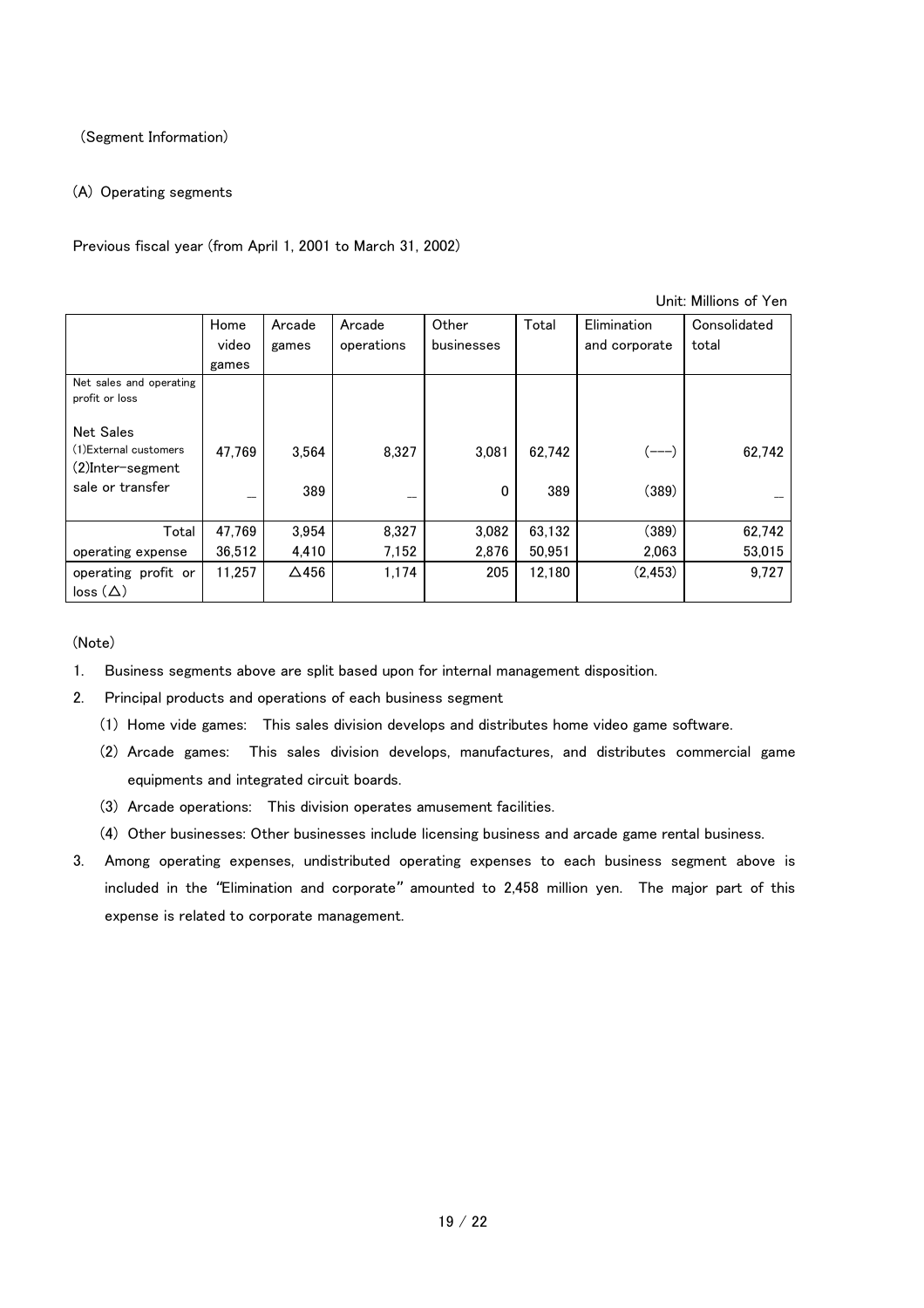#### (Segment Information)

#### (A) Operating segments

Previous fiscal year (from April 1, 2001 to March 31, 2002)

Unit: Millions of Yen Home video games Arcade games Arcade operations **Other** businesses Total Elimination and corporate Consolidated total Net sales and operating profit or loss Net Sales (1)External customers (2)Inter-segment sale or transfer 47,769  $\overline{a}$ 3,564 389 8,327  $\overline{a}$ 3,081  $\Omega$ 62,742 389  $(---)$ (389) 62,742  $\overline{a}$ Total operating expense 47,769 36,512 3,954 4,410 8,327 7,152 3,082 2,876 63,132 50,951 (389) 2,063 62,742 53,015 operating profit or  $loss (\Delta)$ 11,257 | △456 | 1,174 | 205 | 12,180 | (2,453) | 9,727

- 1. Business segments above are split based upon for internal management disposition.
- 2. Principal products and operations of each business segment
	- (1) Home vide games: This sales division develops and distributes home video game software.
	- (2) Arcade games: This sales division develops, manufactures, and distributes commercial game equipments and integrated circuit boards.
	- (3) Arcade operations: This division operates amusement facilities.
	- (4) Other businesses: Other businesses include licensing business and arcade game rental business.
- 3. Among operating expenses, undistributed operating expenses to each business segment above is included in the "Elimination and corporate" amounted to 2,458 million yen. The major part of this expense is related to corporate management.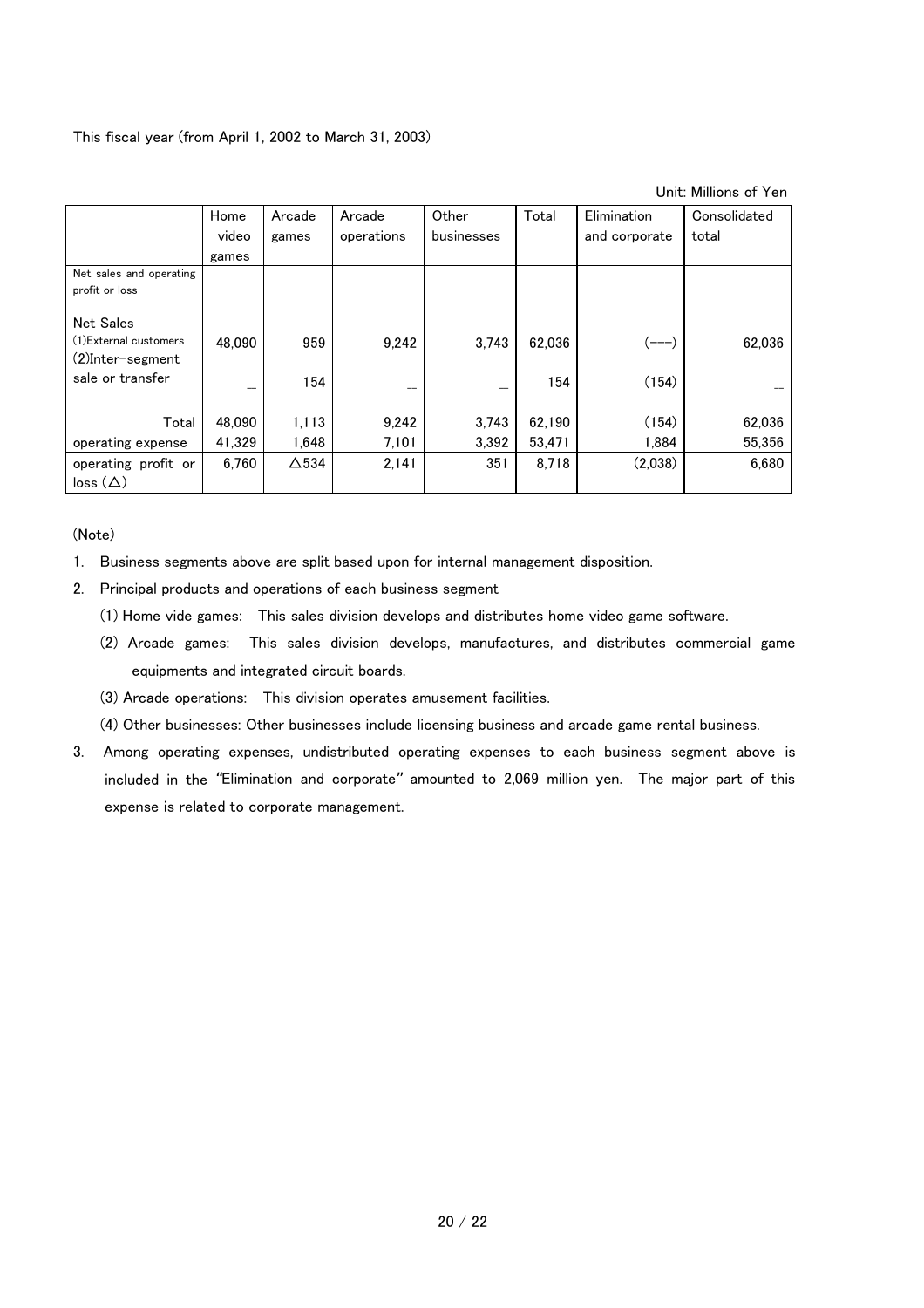This fiscal year (from April 1, 2002 to March 31, 2003)

|                         | Home   | Arcade       | Arcade     | Other      | Total  | Elimination   | Consolidated |
|-------------------------|--------|--------------|------------|------------|--------|---------------|--------------|
|                         | video  | games        | operations | businesses |        | and corporate | total        |
|                         | games  |              |            |            |        |               |              |
| Net sales and operating |        |              |            |            |        |               |              |
| profit or loss          |        |              |            |            |        |               |              |
| <b>Net Sales</b>        |        |              |            |            |        |               |              |
| (1) External customers  | 48.090 | 959          | 9.242      | 3.743      | 62.036 |               | 62,036       |
| (2)Inter-segment        |        |              |            |            |        |               |              |
| sale or transfer        |        | 154          |            |            | 154    | (154)         |              |
|                         |        |              |            |            |        |               |              |
| Total                   | 48.090 | 1,113        | 9,242      | 3,743      | 62,190 | (154)         | 62,036       |
| operating expense       | 41.329 | 1,648        | 7,101      | 3.392      | 53,471 | 1.884         | 55,356       |
| operating profit or     | 6.760  | $\Delta$ 534 | 2,141      | 351        | 8,718  | (2,038)       | 6,680        |
| $loss(\Delta)$          |        |              |            |            |        |               |              |

- 1. Business segments above are split based upon for internal management disposition.
- 2. Principal products and operations of each business segment
	- (1) Home vide games: This sales division develops and distributes home video game software.
	- (2) Arcade games: This sales division develops, manufactures, and distributes commercial game equipments and integrated circuit boards.
	- (3) Arcade operations: This division operates amusement facilities.
	- (4) Other businesses: Other businesses include licensing business and arcade game rental business.
- 3. Among operating expenses, undistributed operating expenses to each business segment above is included in the "Elimination and corporate" amounted to 2,069 million yen. The major part of this expense is related to corporate management.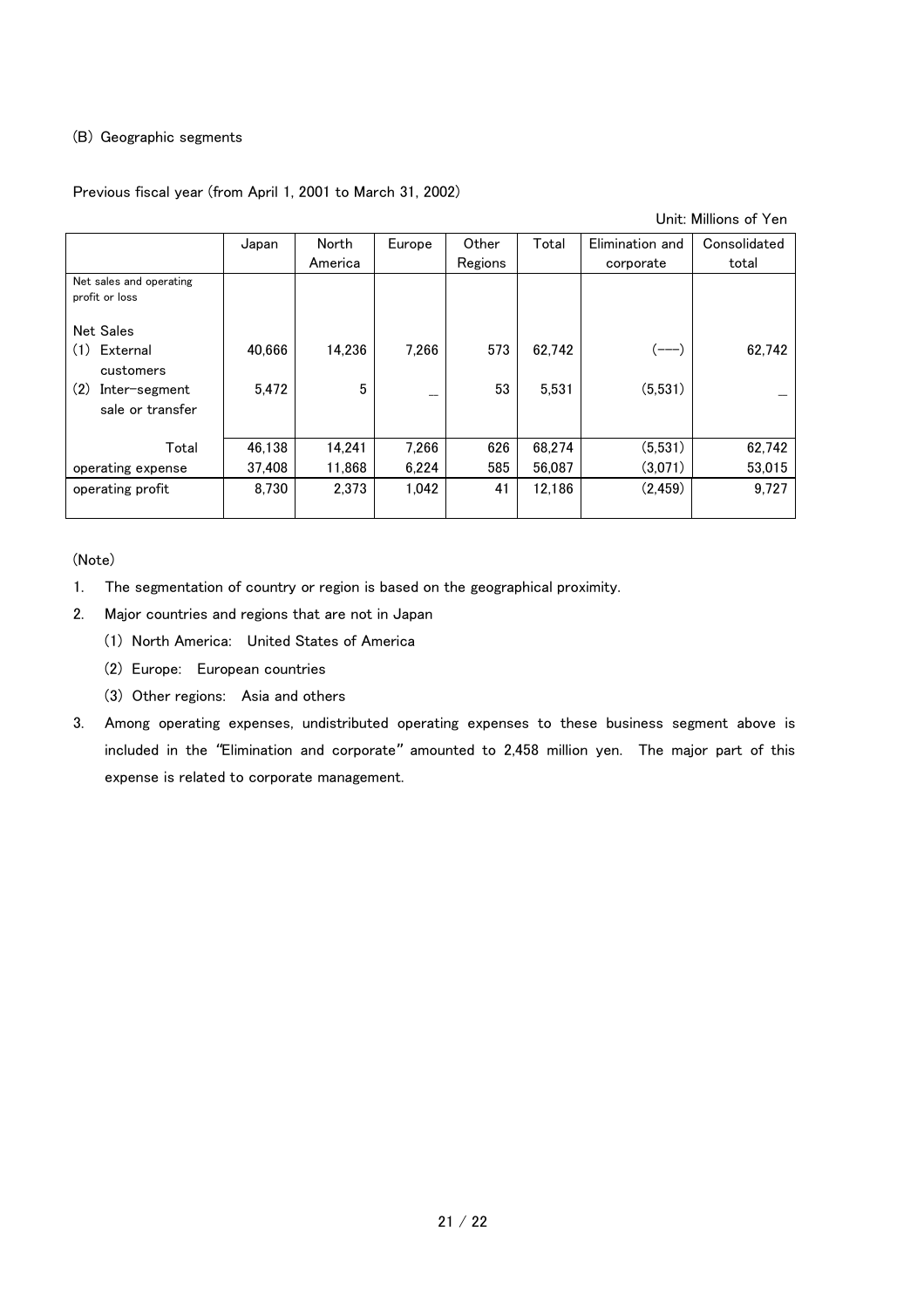#### (B) Geographic segments

#### Previous fiscal year (from April 1, 2001 to March 31, 2002)

Unit: Millions of Yen

|                                           | Japan  | North   | Europe | Other   | Total  | Elimination and | Consolidated |
|-------------------------------------------|--------|---------|--------|---------|--------|-----------------|--------------|
|                                           |        | America |        | Regions |        | corporate       | total        |
| Net sales and operating<br>profit or loss |        |         |        |         |        |                 |              |
| <b>Net Sales</b>                          |        |         |        |         |        |                 |              |
| (1)<br>External<br>customers              | 40.666 | 14.236  | 7.266  | 573     | 62,742 |                 | 62,742       |
| (2)<br>Inter-segment<br>sale or transfer  | 5.472  | 5       |        | 53      | 5,531  | (5,531)         |              |
| Total                                     | 46.138 | 14.241  | 7,266  | 626     | 68,274 | (5,531)         | 62,742       |
| operating expense                         | 37,408 | 11,868  | 6,224  | 585     | 56,087 | (3,071)         | 53,015       |
| operating profit                          | 8.730  | 2.373   | 1.042  | 41      | 12.186 | (2, 459)        | 9,727        |

- 1. The segmentation of country or region is based on the geographical proximity.
- 2. Major countries and regions that are not in Japan
	- (1) North America: United States of America
	- (2) Europe: European countries
	- (3) Other regions: Asia and others
- 3. Among operating expenses, undistributed operating expenses to these business segment above is included in the "Elimination and corporate" amounted to 2,458 million yen. The major part of this expense is related to corporate management.